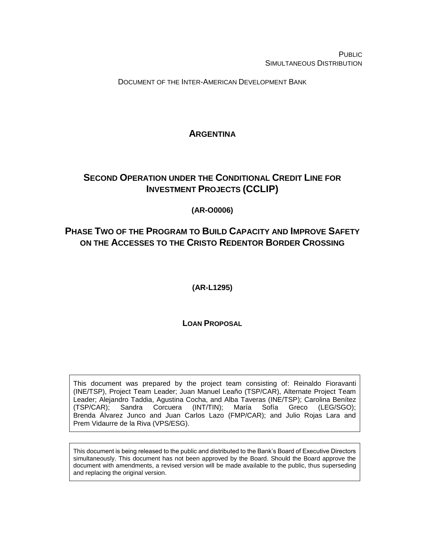PUBLIC SIMULTANEOUS DISTRIBUTION

DOCUMENT OF THE INTER-AMERICAN DEVELOPMENT BANK

# <span id="page-0-0"></span>**ARGENTINA**

# <span id="page-0-1"></span>**SECOND OPERATION UNDER THE CONDITIONAL CREDIT LINE FOR INVESTMENT PROJECTS (CCLIP)**

## **(AR-O0006)**

# **PHASE TWO OF THE PROGRAM TO BUILD CAPACITY AND IMPROVE SAFETY ON THE ACCESSES TO THE CRISTO REDENTOR BORDER CROSSING**

<span id="page-0-2"></span>**(AR-L1295)**

**LOAN PROPOSAL**

This document was prepared by the project team consisting of: Reinaldo Fioravanti (INE/TSP), Project Team Leader; Juan Manuel Leaño (TSP/CAR), Alternate Project Team Leader; Alejandro Taddia, Agustina Cocha, and Alba Taveras (INE/TSP); Carolina Benítez (TSP/CAR); Sandra Corcuera (INT/TIN); María Sofía Greco (LEG/SGO); Brenda Álvarez Junco and Juan Carlos Lazo (FMP/CAR); and Julio Rojas Lara and Prem Vidaurre de la Riva (VPS/ESG).

This document is being released to the public and distributed to the Bank's Board of Executive Directors simultaneously. This document has not been approved by the Board. Should the Board approve the document with amendments, a revised version will be made available to the public, thus superseding and replacing the original version.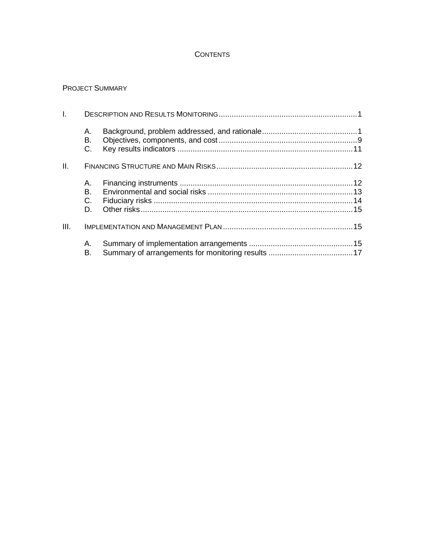## **CONTENTS**

## PROJECT SUMMARY

| $\mathbf{L}$ |                      |  |
|--------------|----------------------|--|
|              | А.<br>В.<br>C.       |  |
| Ш.           |                      |  |
|              | А.<br>В.<br>C.<br>D. |  |
| III.         |                      |  |
|              | А.<br>В.             |  |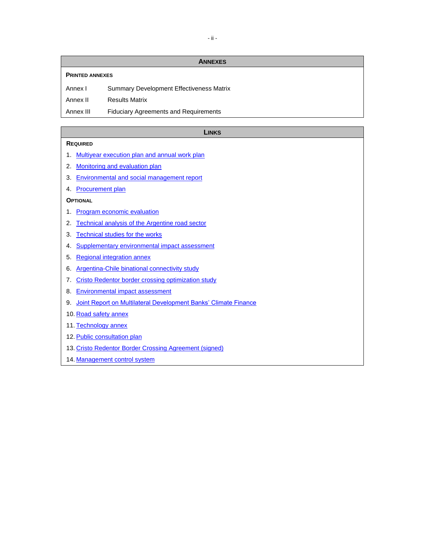#### **ANNEXES**

#### **PRINTED ANNEXES**

| Annex I   | <b>Summary Development Effectiveness Matrix</b> |
|-----------|-------------------------------------------------|
| Annex II  | <b>Results Matrix</b>                           |
| Annex III | <b>Fiduciary Agreements and Requirements</b>    |

#### **LINKS**

#### **REQUIRED**

- 1. [Multiyear execution plan and annual work plan](http://idbdocs.iadb.org/wsdocs/getDocument.aspx?DOCNUM=EZSHARE-30346992-3)
- 2. [Monitoring and evaluation plan](http://idbdocs.iadb.org/wsdocs/getDocument.aspx?DOCNUM=EZSHARE-30346992-10)
- 3. [Environmental and social management report](http://idbdocs.iadb.org/wsdocs/getDocument.aspx?DOCNUM=EZSHARE-30346992-21)
- 4. [Procurement plan](http://idbdocs.iadb.org/wsdocs/getDocument.aspx?DOCNUM=EZSHARE-30346992-2)

### **OPTIONAL**

- 1. [Program economic evaluation](http://idbdocs.iadb.org/wsdocs/getDocument.aspx?DOCNUM=EZSHARE-30346992-19)
- 2. [Technical analysis of the Argentine road sector](http://idbdocs.iadb.org/wsdocs/getDocument.aspx?DOCNUM=EZSHARE-30346992-22)
- 3. [Technical studies for the works](http://idbdocs.iadb.org/wsdocs/getDocument.aspx?DOCNUM=EZSHARE-30346992-11)
- 4. [Supplementary environmental impact assessment](http://idbdocs.iadb.org/wsdocs/getDocument.aspx?DOCNUM=EZSHARE-781727023-6)
- 5. [Regional integration annex](http://idbdocs.iadb.org/wsdocs/getDocument.aspx?DOCNUM=EZSHARE-30346992-5)
- 6. [Argentina-Chile binational connectivity study](http://idbdocs.iadb.org/wsdocs/getDocument.aspx?DOCNUM=EZSHARE-30346992-8)
- 7. [Cristo Redentor border crossing optimization study](http://idbdocs.iadb.org/wsdocs/getDocument.aspx?DOCNUM=EZSHARE-30346992-7)
- 8. [Environmental impact assessment](http://idbdocs.iadb.org/wsdocs/getDocument.aspx?DOCNUM=EZSHARE-781727023-5)
- 9. [Joint Report on Multilateral Development Banks' Climate Finance](http://idbdocs.iadb.org/wsdocs/getDocument.aspx?DOCNUM=EZSHARE-30346992-6)
- 10. [Road safety annex](http://idbdocs.iadb.org/wsdocs/getDocument.aspx?DOCNUM=EZSHARE-30346992-14)
- 11. [Technology annex](http://idbdocs.iadb.org/wsdocs/getDocument.aspx?DOCNUM=EZSHARE-30346992-9)
- 12. [Public consultation plan](http://idbdocs.iadb.org/wsdocs/getDocument.aspx?DOCNUM=EZSHARE-781727023-7)
- 13. [Cristo Redentor Border Crossing Agreement](http://idbdocs.iadb.org/wsdocs/getDocument.aspx?DOCNUM=EZSHARE-30346992-15) (signed)
- 14. [Management control system](http://idbdocs.iadb.org/wsdocs/getDocument.aspx?DOCNUM=EZSHARE-30346992-20)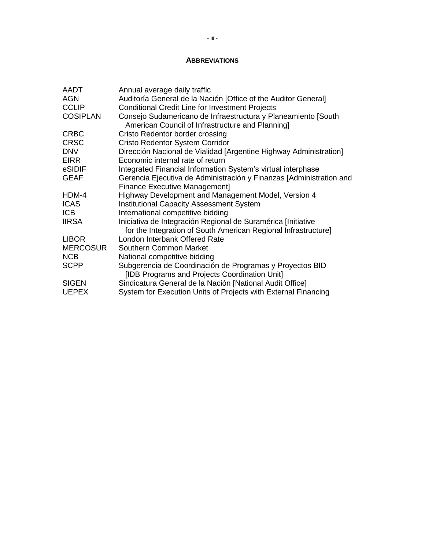### **ABBREVIATIONS**

| Consejo Sudamericano de Infraestructura y Planeamiento [South                                                              |
|----------------------------------------------------------------------------------------------------------------------------|
|                                                                                                                            |
|                                                                                                                            |
| Dirección Nacional de Vialidad [Argentine Highway Administration]                                                          |
|                                                                                                                            |
|                                                                                                                            |
| Gerencia Ejecutiva de Administración y Finanzas [Administration and                                                        |
|                                                                                                                            |
|                                                                                                                            |
|                                                                                                                            |
|                                                                                                                            |
|                                                                                                                            |
| for the Integration of South American Regional Infrastructure]                                                             |
|                                                                                                                            |
|                                                                                                                            |
|                                                                                                                            |
|                                                                                                                            |
|                                                                                                                            |
| System for Execution Units of Projects with External Financing                                                             |
| Auditoría General de la Nación [Office of the Auditor General]<br>Subgerencia de Coordinación de Programas y Proyectos BID |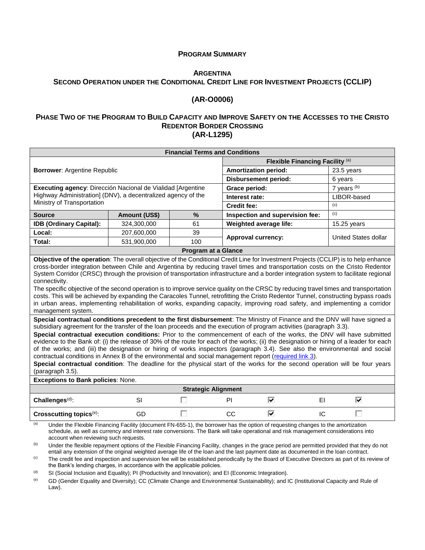### **PROGRAM SUMMARY**

### **A[RGENTINA](#page-0-0) SECOND O[PERATION UNDER THE](#page-0-1) CONDITIONAL CREDIT LINE FOR INVESTMENT PROJECTS (CCLIP)**

### **[\(AR-O0006\)](#page-0-1)**

### **PHASE TWO OF THE PROGRAM TO BUILD CAPACITY AND IMPROVE SAFETY ON THE A[CCESSES TO THE](#page-0-1) CRISTO R[EDENTOR](#page-0-1) BORDER CROSSING [\(AR-L1295\)](#page-0-2)**

| <b>Financial Terms and Conditions</b>                                                                                                                                                                                                                                                                                                                                                                                                                                                                                                                                                                                                                                                                                                                                                                                                                                                                                                                                                                                                                                                                                                                                                                                                                                                                                                                                                                                                                                                                                                                                                                                                                                                                                                                                                                                 |               |                                 |                           |                                 |            |                             |  |  |  |
|-----------------------------------------------------------------------------------------------------------------------------------------------------------------------------------------------------------------------------------------------------------------------------------------------------------------------------------------------------------------------------------------------------------------------------------------------------------------------------------------------------------------------------------------------------------------------------------------------------------------------------------------------------------------------------------------------------------------------------------------------------------------------------------------------------------------------------------------------------------------------------------------------------------------------------------------------------------------------------------------------------------------------------------------------------------------------------------------------------------------------------------------------------------------------------------------------------------------------------------------------------------------------------------------------------------------------------------------------------------------------------------------------------------------------------------------------------------------------------------------------------------------------------------------------------------------------------------------------------------------------------------------------------------------------------------------------------------------------------------------------------------------------------------------------------------------------|---------------|---------------------------------|---------------------------|---------------------------------|------------|-----------------------------|--|--|--|
|                                                                                                                                                                                                                                                                                                                                                                                                                                                                                                                                                                                                                                                                                                                                                                                                                                                                                                                                                                                                                                                                                                                                                                                                                                                                                                                                                                                                                                                                                                                                                                                                                                                                                                                                                                                                                       |               | Flexible Financing Facility (a) |                           |                                 |            |                             |  |  |  |
| <b>Borrower: Argentine Republic</b>                                                                                                                                                                                                                                                                                                                                                                                                                                                                                                                                                                                                                                                                                                                                                                                                                                                                                                                                                                                                                                                                                                                                                                                                                                                                                                                                                                                                                                                                                                                                                                                                                                                                                                                                                                                   |               | <b>Amortization period:</b>     |                           |                                 | 23.5 years |                             |  |  |  |
|                                                                                                                                                                                                                                                                                                                                                                                                                                                                                                                                                                                                                                                                                                                                                                                                                                                                                                                                                                                                                                                                                                                                                                                                                                                                                                                                                                                                                                                                                                                                                                                                                                                                                                                                                                                                                       |               | <b>Disbursement period:</b>     |                           |                                 | 6 years    |                             |  |  |  |
| Executing agency: Dirección Nacional de Vialidad [Argentine                                                                                                                                                                                                                                                                                                                                                                                                                                                                                                                                                                                                                                                                                                                                                                                                                                                                                                                                                                                                                                                                                                                                                                                                                                                                                                                                                                                                                                                                                                                                                                                                                                                                                                                                                           |               |                                 | Grace period:             |                                 |            | 7 years (b)                 |  |  |  |
| Highway Administration] (DNV), a decentralized agency of the                                                                                                                                                                                                                                                                                                                                                                                                                                                                                                                                                                                                                                                                                                                                                                                                                                                                                                                                                                                                                                                                                                                                                                                                                                                                                                                                                                                                                                                                                                                                                                                                                                                                                                                                                          |               |                                 | Interest rate:            |                                 |            | LIBOR-based                 |  |  |  |
| Ministry of Transportation                                                                                                                                                                                                                                                                                                                                                                                                                                                                                                                                                                                                                                                                                                                                                                                                                                                                                                                                                                                                                                                                                                                                                                                                                                                                                                                                                                                                                                                                                                                                                                                                                                                                                                                                                                                            |               |                                 | <b>Credit fee:</b>        |                                 |            | (c)                         |  |  |  |
| <b>Source</b>                                                                                                                                                                                                                                                                                                                                                                                                                                                                                                                                                                                                                                                                                                                                                                                                                                                                                                                                                                                                                                                                                                                                                                                                                                                                                                                                                                                                                                                                                                                                                                                                                                                                                                                                                                                                         | Amount (US\$) | $\%$                            |                           | Inspection and supervision fee: |            | (c)                         |  |  |  |
| <b>IDB (Ordinary Capital):</b>                                                                                                                                                                                                                                                                                                                                                                                                                                                                                                                                                                                                                                                                                                                                                                                                                                                                                                                                                                                                                                                                                                                                                                                                                                                                                                                                                                                                                                                                                                                                                                                                                                                                                                                                                                                        | 324,300,000   | 61                              |                           | Weighted average life:          |            | 15.25 years                 |  |  |  |
| Local:                                                                                                                                                                                                                                                                                                                                                                                                                                                                                                                                                                                                                                                                                                                                                                                                                                                                                                                                                                                                                                                                                                                                                                                                                                                                                                                                                                                                                                                                                                                                                                                                                                                                                                                                                                                                                | 207,600,000   | 39                              |                           |                                 |            |                             |  |  |  |
| Total:                                                                                                                                                                                                                                                                                                                                                                                                                                                                                                                                                                                                                                                                                                                                                                                                                                                                                                                                                                                                                                                                                                                                                                                                                                                                                                                                                                                                                                                                                                                                                                                                                                                                                                                                                                                                                | 531,900,000   | 100                             | <b>Approval currency:</b> |                                 |            | <b>United States dollar</b> |  |  |  |
|                                                                                                                                                                                                                                                                                                                                                                                                                                                                                                                                                                                                                                                                                                                                                                                                                                                                                                                                                                                                                                                                                                                                                                                                                                                                                                                                                                                                                                                                                                                                                                                                                                                                                                                                                                                                                       |               |                                 |                           |                                 |            |                             |  |  |  |
| <b>Program at a Glance</b><br>Objective of the operation: The overall objective of the Conditional Credit Line for Investment Projects (CCLIP) is to help enhance<br>cross-border integration between Chile and Argentina by reducing travel times and transportation costs on the Cristo Redentor<br>System Corridor (CRSC) through the provision of transportation infrastructure and a border integration system to facilitate regional<br>connectivity.<br>The specific objective of the second operation is to improve service quality on the CRSC by reducing travel times and transportation<br>costs. This will be achieved by expanding the Caracoles Tunnel, retrofitting the Cristo Redentor Tunnel, constructing bypass roads<br>in urban areas, implementing rehabilitation of works, expanding capacity, improving road safety, and implementing a corridor<br>management system.<br>Special contractual conditions precedent to the first disbursement: The Ministry of Finance and the DNV will have signed a<br>subsidiary agreement for the transfer of the loan proceeds and the execution of program activities (paragraph 3.3).<br>Special contractual execution conditions: Prior to the commencement of each of the works, the DNV will have submitted<br>evidence to the Bank of: (i) the release of 30% of the route for each of the works; (ii) the designation or hiring of a leader for each<br>of the works; and (iii) the designation or hiring of works inspectors (paragraph 3.4). See also the environmental and social<br>contractual conditions in Annex B of the environmental and social management report (required link 3).<br>Special contractual condition: The deadline for the physical start of the works for the second operation will be four years<br>(paragraph 3.5). |               |                                 |                           |                                 |            |                             |  |  |  |
| <b>Exceptions to Bank policies: None.</b>                                                                                                                                                                                                                                                                                                                                                                                                                                                                                                                                                                                                                                                                                                                                                                                                                                                                                                                                                                                                                                                                                                                                                                                                                                                                                                                                                                                                                                                                                                                                                                                                                                                                                                                                                                             |               | <b>Strategic Alignment</b>      |                           |                                 |            |                             |  |  |  |
|                                                                                                                                                                                                                                                                                                                                                                                                                                                                                                                                                                                                                                                                                                                                                                                                                                                                                                                                                                                                                                                                                                                                                                                                                                                                                                                                                                                                                                                                                                                                                                                                                                                                                                                                                                                                                       |               |                                 |                           |                                 |            |                             |  |  |  |
| Challenges <sup>(d)</sup> :                                                                                                                                                                                                                                                                                                                                                                                                                                                                                                                                                                                                                                                                                                                                                                                                                                                                                                                                                                                                                                                                                                                                                                                                                                                                                                                                                                                                                                                                                                                                                                                                                                                                                                                                                                                           | SI            | г                               | PI                        | ⊽                               | EI         | ⊽                           |  |  |  |
| Crosscutting topics <sup>(e)</sup> :                                                                                                                                                                                                                                                                                                                                                                                                                                                                                                                                                                                                                                                                                                                                                                                                                                                                                                                                                                                                                                                                                                                                                                                                                                                                                                                                                                                                                                                                                                                                                                                                                                                                                                                                                                                  | GD            | П                               | CC                        | ⊽                               | IC         | П                           |  |  |  |
| (a)<br>Under the Flexible Financing Facility (document FN-655-1), the borrower has the option of requesting changes to the amortization<br>schedule, as well as currency and interest rate conversions. The Bank will take operational and risk management considerations into<br>account when reviewing such requests.                                                                                                                                                                                                                                                                                                                                                                                                                                                                                                                                                                                                                                                                                                                                                                                                                                                                                                                                                                                                                                                                                                                                                                                                                                                                                                                                                                                                                                                                                               |               |                                 |                           |                                 |            |                             |  |  |  |

<sup>(b)</sup> Under the flexible repayment options of the Flexible Financing Facility, changes in the grace period are permitted provided that they do not entail any extension of the original weighted average life of the loan and the last payment date as documented in the loan contract.

(c) The credit fee and inspection and supervision fee will be established periodically by the Board of Executive Directors as part of its review of the Bank's lending charges, in accordance with the applicable policies.

 $<sup>(d)</sup>$  SI (Social Inclusion and Equality); PI (Productivity and Innovation); and EI (Economic Integration).</sup>

(e) GD (Gender Equality and Diversity); CC (Climate Change and Environmental Sustainability); and IC (Institutional Capacity and Rule of Law).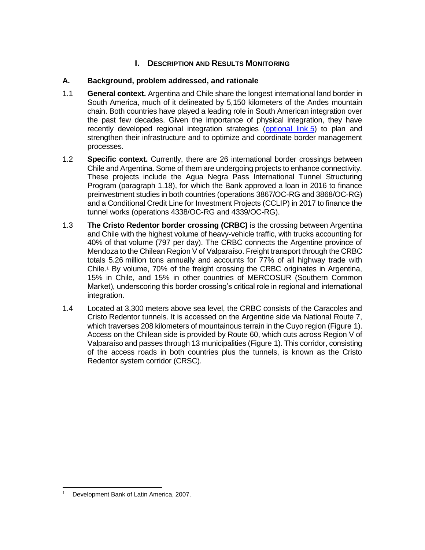## **I.** DESCRIPTION AND RESULTS MONITORING

## **A. Background, problem addressed, and rationale**

- 1.1 **General context.** Argentina and Chile share the longest international land border in South America, much of it delineated by 5,150 kilometers of the Andes mountain chain. Both countries have played a leading role in South American integration over the past few decades. Given the importance of physical integration, they have recently developed regional integration strategies [\(optional link](http://idbdocs.iadb.org/wsdocs/getDocument.aspx?DOCNUM=EZSHARE-30346992-5) 5) to plan and strengthen their infrastructure and to optimize and coordinate border management processes.
- 1.2 **Specific context.** Currently, there are 26 international border crossings between Chile and Argentina. Some of them are undergoing projects to enhance connectivity. These projects include the Agua Negra Pass International Tunnel Structuring Program (paragraph 1.18), for which the Bank approved a loan in 2016 to finance preinvestment studies in both countries (operations 3867/OC-RG and 3868/OC-RG) and a Conditional Credit Line for Investment Projects (CCLIP) in 2017 to finance the tunnel works (operations 4338/OC-RG and 4339/OC-RG).
- 1.3 **The Cristo Redentor border crossing (CRBC)** is the crossing between Argentina and Chile with the highest volume of heavy-vehicle traffic, with trucks accounting for 40% of that volume (797 per day). The CRBC connects the Argentine province of Mendoza to the Chilean Region V of Valparaíso. Freight transport through the CRBC totals 5.26 million tons annually and accounts for 77% of all highway trade with Chile.<sup>1</sup> By volume, 70% of the freight crossing the CRBC originates in Argentina, 15% in Chile, and 15% in other countries of MERCOSUR (Southern Common Market), underscoring this border crossing's critical role in regional and international integration.
- 1.4 Located at 3,300 meters above sea level, the CRBC consists of the Caracoles and Cristo Redentor tunnels. It is accessed on the Argentine side via National Route 7, which traverses 208 kilometers of mountainous terrain in the Cuyo region (Figure 1). Access on the Chilean side is provided by Route 60, which cuts across Region V of Valparaíso and passes through 13 municipalities (Figure 1). This corridor, consisting of the access roads in both countries plus the tunnels, is known as the Cristo Redentor system corridor (CRSC).

<sup>1</sup> Development Bank of Latin America, 2007.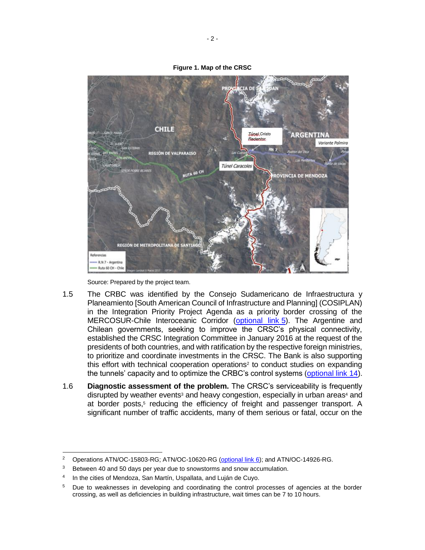

**Figure 1. Map of the CRSC**

Source: Prepared by the project team.

- 1.5 The CRBC was identified by the Consejo Sudamericano de Infraestructura y Planeamiento [South American Council of Infrastructure and Planning] (COSIPLAN) in the Integration Priority Project Agenda as a priority border crossing of the MERCOSUR-Chile Interoceanic Corridor [\(optional link](http://idbdocs.iadb.org/wsdocs/getDocument.aspx?DOCNUM=EZSHARE-30346992-5) 5). The Argentine and Chilean governments, seeking to improve the CRSC's physical connectivity, established the CRSC Integration Committee in January 2016 at the request of the presidents of both countries, and with ratification by the respective foreign ministries, to prioritize and coordinate investments in the CRSC. The Bank is also supporting this effort with technical cooperation operations<sup>2</sup> to conduct studies on expanding the tunnels' capacity and to optimize the CRBC's control systems [\(optional link](http://idbdocs.iadb.org/wsdocs/getDocument.aspx?DOCNUM=EZSHARE-30346992-20) 14).
- 1.6 **Diagnostic assessment of the problem.** The CRSC's serviceability is frequently disrupted by weather events $3$  and heavy congestion, especially in urban areas $4$  and at border posts,<sup>5</sup> reducing the efficiency of freight and passenger transport. A significant number of traffic accidents, many of them serious or fatal, occur on the

 $\overline{2}$ <sup>2</sup> Operations ATN/OC-15803-RG; ATN/OC-10620-RG [\(optional link](http://idbdocs.iadb.org/wsdocs/getDocument.aspx?DOCNUM=EZSHARE-30346992-8) 6); and ATN/OC-14926-RG.

 $3$  Between 40 and 50 days per year due to snowstorms and snow accumulation.

<sup>4</sup> In the cities of Mendoza, San Martín, Uspallata, and Luján de Cuyo.

<sup>&</sup>lt;sup>5</sup> Due to weaknesses in developing and coordinating the control processes of agencies at the border crossing, as well as deficiencies in building infrastructure, wait times can be 7 to 10 hours.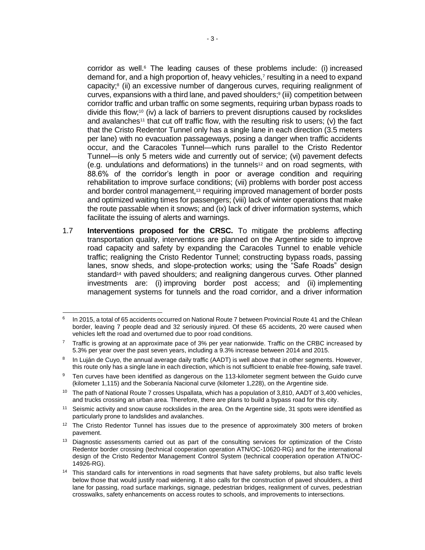corridor as well. $6$  The leading causes of these problems include: (i) increased demand for, and a high proportion of, heavy vehicles,<sup>7</sup> resulting in a need to expand capacity;<sup>8</sup> (ii) an excessive number of dangerous curves, requiring realignment of curves, expansions with a third lane, and paved shoulders;<sup>9</sup> (iii) competition between corridor traffic and urban traffic on some segments, requiring urban bypass roads to divide this flow;<sup>10</sup> (iv) a lack of barriers to prevent disruptions caused by rockslides and avalanches<sup>11</sup> that cut off traffic flow, with the resulting risk to users; (v) the fact that the Cristo Redentor Tunnel only has a single lane in each direction (3.5 meters per lane) with no evacuation passageways, posing a danger when traffic accidents occur, and the Caracoles Tunnel—which runs parallel to the Cristo Redentor Tunnel—is only 5 meters wide and currently out of service; (vi) pavement defects  $(e.g.,$  undulations and deformations) in the tunnels<sup>12</sup> and on road segments, with 88.6% of the corridor's length in poor or average condition and requiring rehabilitation to improve surface conditions; (vii) problems with border post access and border control management,<sup>13</sup> requiring improved management of border posts and optimized waiting times for passengers; (viii) lack of winter operations that make the route passable when it snows; and (ix) lack of driver information systems, which facilitate the issuing of alerts and warnings.

1.7 **Interventions proposed for the CRSC.** To mitigate the problems affecting transportation quality, interventions are planned on the Argentine side to improve road capacity and safety by expanding the Caracoles Tunnel to enable vehicle traffic; realigning the Cristo Redentor Tunnel; constructing bypass roads, passing lanes, snow sheds, and slope-protection works; using the "Safe Roads" design standard<sup>14</sup> with paved shoulders; and realigning dangerous curves. Other planned investments are: (i) improving border post access; and (ii) implementing management systems for tunnels and the road corridor, and a driver information

 6 In 2015, a total of 65 accidents occurred on National Route 7 between Provincial Route 41 and the Chilean border, leaving 7 people dead and 32 seriously injured. Of these 65 accidents, 20 were caused when vehicles left the road and overturned due to poor road conditions.

 $7$  Traffic is growing at an approximate pace of 3% per year nationwide. Traffic on the CRBC increased by 5.3% per year over the past seven years, including a 9.3% increase between 2014 and 2015.

<sup>&</sup>lt;sup>8</sup> In Luján de Cuyo, the annual average daily traffic (AADT) is well above that in other segments. However, this route only has a single lane in each direction, which is not sufficient to enable free-flowing, safe travel.

<sup>&</sup>lt;sup>9</sup> Ten curves have been identified as dangerous on the 113-kilometer segment between the Guido curve (kilometer 1,115) and the Soberanía Nacional curve (kilometer 1,228), on the Argentine side.

<sup>&</sup>lt;sup>10</sup> The path of National Route 7 crosses Uspallata, which has a population of 3,810, AADT of 3,400 vehicles, and trucks crossing an urban area. Therefore, there are plans to build a bypass road for this city.

<sup>&</sup>lt;sup>11</sup> Seismic activity and snow cause rockslides in the area. On the Argentine side, 31 spots were identified as particularly prone to landslides and avalanches.

<sup>&</sup>lt;sup>12</sup> The Cristo Redentor Tunnel has issues due to the presence of approximately 300 meters of broken pavement.

<sup>&</sup>lt;sup>13</sup> Diagnostic assessments carried out as part of the consulting services for optimization of the Cristo Redentor border crossing (technical cooperation operation ATN/OC-10620-RG) and for the international design of the Cristo Redentor Management Control System (technical cooperation operation ATN/OC-14926-RG).

<sup>&</sup>lt;sup>14</sup> This standard calls for interventions in road segments that have safety problems, but also traffic levels below those that would justify road widening. It also calls for the construction of paved shoulders, a third lane for passing, road surface markings, signage, pedestrian bridges, realignment of curves, pedestrian crosswalks, safety enhancements on access routes to schools, and improvements to intersections.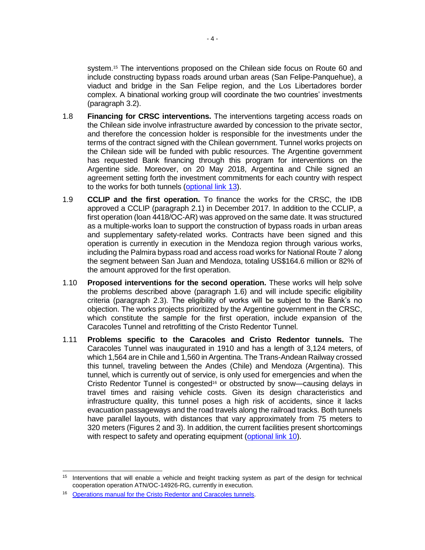system.<sup>15</sup> The interventions proposed on the Chilean side focus on Route 60 and include constructing bypass roads around urban areas (San Felipe-Panquehue), a viaduct and bridge in the San Felipe region, and the Los Libertadores border complex. A binational working group will coordinate the two countries' investments (paragraph 3.2).

- 1.8 **Financing for CRSC interventions.** The interventions targeting access roads on the Chilean side involve infrastructure awarded by concession to the private sector, and therefore the concession holder is responsible for the investments under the terms of the contract signed with the Chilean government. Tunnel works projects on the Chilean side will be funded with public resources. The Argentine government has requested Bank financing through this program for interventions on the Argentine side. Moreover, on 20 May 2018, Argentina and Chile signed an agreement setting forth the investment commitments for each country with respect to the works for both tunnels [\(optional link](http://idbdocs.iadb.org/wsdocs/getDocument.aspx?DOCNUM=EZSHARE-30346992-15) 13).
- 1.9 **CCLIP and the first operation.** To finance the works for the CRSC, the IDB approved a CCLIP (paragraph 2.1) in December 2017. In addition to the CCLIP, a first operation (loan 4418/OC-AR) was approved on the same date. It was structured as a multiple-works loan to support the construction of bypass roads in urban areas and supplementary safety-related works. Contracts have been signed and this operation is currently in execution in the Mendoza region through various works, including the Palmira bypass road and access road works for National Route 7 along the segment between San Juan and Mendoza, totaling US\$164.6 million or 82% of the amount approved for the first operation.
- 1.10 **Proposed interventions for the second operation.** These works will help solve the problems described above (paragraph 1.6) and will include specific eligibility criteria (paragraph 2.3). The eligibility of works will be subject to the Bank's no objection. The works projects prioritized by the Argentine government in the CRSC, which constitute the sample for the first operation, include expansion of the Caracoles Tunnel and retrofitting of the Cristo Redentor Tunnel.
- 1.11 **Problems specific to the Caracoles and Cristo Redentor tunnels.** The Caracoles Tunnel was inaugurated in 1910 and has a length of 3,124 meters, of which 1,564 are in Chile and 1,560 in Argentina. The Trans-Andean Railway crossed this tunnel, traveling between the Andes (Chile) and Mendoza (Argentina). This tunnel, which is currently out of service, is only used for emergencies and when the Cristo Redentor Tunnel is congested<sup>16</sup> or obstructed by snow—causing delays in travel times and raising vehicle costs. Given its design characteristics and infrastructure quality, this tunnel poses a high risk of accidents, since it lacks evacuation passageways and the road travels along the railroad tracks. Both tunnels have parallel layouts, with distances that vary approximately from 75 meters to 320 meters (Figures 2 and 3). In addition, the current facilities present shortcomings with respect to safety and operating equipment [\(optional link](http://idbdocs.iadb.org/wsdocs/getDocument.aspx?DOCNUM=EZSHARE-30346992-14) 10).

 <sup>15</sup> Interventions that will enable a vehicle and freight tracking system as part of the design for technical cooperation operation ATN/OC-14926-RG, currently in execution.

<sup>16</sup> [Operations manual for the Cristo Redentor and Caracoles](https://www.piarc.org/ressources/documents/actes-seminaires06/c33-argentine06/8780,raul_ramirez_torres,_hector_rodrigu.pdf) tunnels.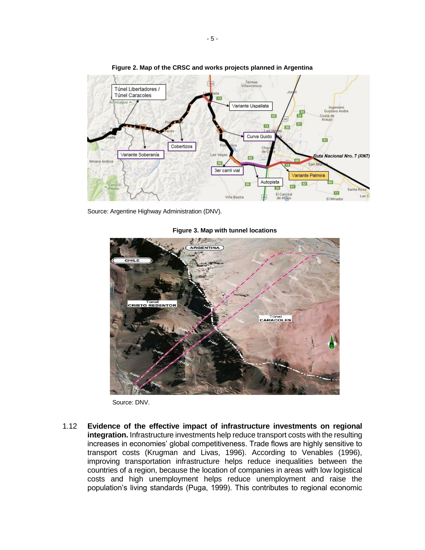

**Figure 2. Map of the CRSC and works projects planned in Argentina**

Source: Argentine Highway Administration (DNV).

ARGENTINA Túnel<br>CRISTO REDENTOR Túnel<br>CARACOLES

**Figure 3. Map with tunnel locations**

Source: DNV.

1.12 **Evidence of the effective impact of infrastructure investments on regional integration.** Infrastructure investments help reduce transport costs with the resulting increases in economies' global competitiveness. Trade flows are highly sensitive to transport costs (Krugman and Livas, 1996). According to Venables (1996), improving transportation infrastructure helps reduce inequalities between the countries of a region, because the location of companies in areas with low logistical costs and high unemployment helps reduce unemployment and raise the population's living standards (Puga, 1999). This contributes to regional economic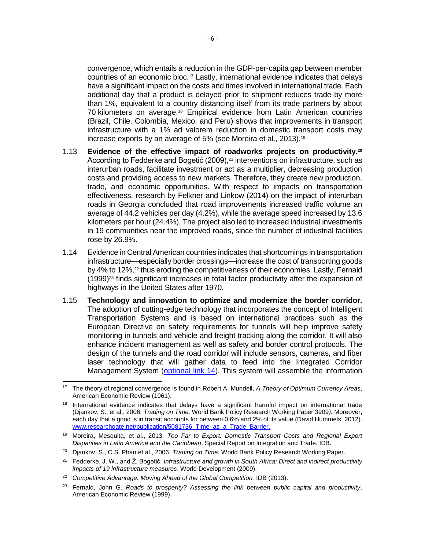convergence, which entails a reduction in the GDP-per-capita gap between member countries of an economic bloc.<sup>17</sup> Lastly, international evidence indicates that delays have a significant impact on the costs and times involved in international trade. Each additional day that a product is delayed prior to shipment reduces trade by more than 1%, equivalent to a country distancing itself from its trade partners by about 70 kilometers on average.<sup>18</sup> Empirical evidence from Latin American countries (Brazil, Chile, Colombia, Mexico, and Peru) shows that improvements in transport infrastructure with a 1% ad valorem reduction in domestic transport costs may increase exports by an average of 5% (see Moreira et al., 2013).<sup>19</sup>

- 1.13 **Evidence of the effective impact of roadworks projects on productivity.<sup>20</sup>** According to Fedderke and Bogetić (2009),<sup>21</sup> interventions on infrastructure, such as interurban roads, facilitate investment or act as a multiplier, decreasing production costs and providing access to new markets. Therefore, they create new production, trade, and economic opportunities. With respect to impacts on transportation effectiveness, research by Felkner and Linkow (2014) on the impact of interurban roads in Georgia concluded that road improvements increased traffic volume an average of 44.2 vehicles per day (4.2%), while the average speed increased by 13.6 kilometers per hour (24.4%). The project also led to increased industrial investments in 19 communities near the improved roads, since the number of industrial facilities rose by 26.9%.
- 1.14 Evidence in Central American countries indicates that shortcomings in transportation infrastructure—especially border crossings—increase the cost of transporting goods by 4% to 12%,<sup>22</sup> thus eroding the competitiveness of their economies. Lastly, Fernald  $(1999)^{23}$  finds significant increases in total factor productivity after the expansion of highways in the United States after 1970.
- 1.15 **Technology and innovation to optimize and modernize the border corridor.**  The adoption of cutting-edge technology that incorporates the concept of Intelligent Transportation Systems and is based on international practices such as the European Directive on safety requirements for tunnels will help improve safety monitoring in tunnels and vehicle and freight tracking along the corridor. It will also enhance incident management as well as safety and border control protocols. The design of the tunnels and the road corridor will include sensors, cameras, and fiber laser technology that will gather data to feed into the Integrated Corridor Management System [\(optional link](http://idbdocs.iadb.org/wsdocs/getDocument.aspx?DOCNUM=EZSHARE-30346992-20) 14). This system will assemble the information

 $\overline{a}$ <sup>17</sup> The theory of regional convergence is found in Robert A. Mundell, *A Theory of Optimum Currency Areas*, American Economic Review (1961).

<sup>&</sup>lt;sup>18</sup> International evidence indicates that delays have a significant harmful impact on international trade (Djankov, S., et al., 2006*. Trading on Time.* World Bank Policy Research Working Paper 3909*).* Moreover, each day that a good is in transit accounts for between 0.6% and 2% of its value (David Hummels, 2012). www.researchgate.net/publication/5081736\_Time\_as\_a\_Trade\_Barrier.

<sup>19</sup> Moreira, Mesquita, et al., 2013. *Too Far to Export: Domestic Transport Costs and Regional Export Disparities in Latin America and the Caribbean*. Special Report on Integration and Trade. IDB.

<sup>20</sup> Djankov, S., C.S. Phan et al., 2006. *Trading on Time.* World Bank Policy Research Working Paper.

<sup>21</sup> Fedderke, J. W., and Ž. Bogetić. *Infrastructure and growth in South Africa: Direct and indirect productivity impacts of 19 infrastructure measures*. World Development (2009).

<sup>&</sup>lt;sup>22</sup> Competitive Advantage: Moving Ahead of the Global Competition. IDB (2013).

<sup>23</sup> Fernald, John G. *Roads to prosperity? Assessing the link between public capital and productivity*. American Economic Review (1999).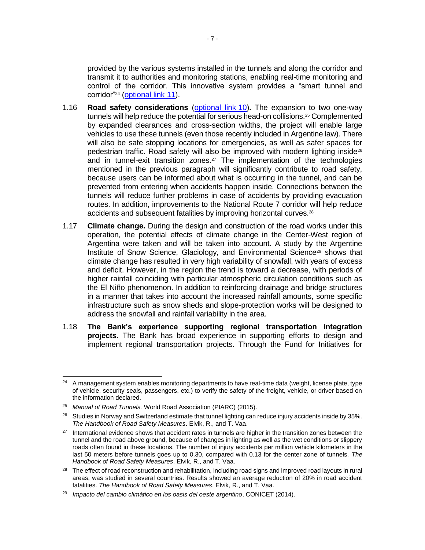provided by the various systems installed in the tunnels and along the corridor and transmit it to authorities and monitoring stations, enabling real-time monitoring and control of the corridor. This innovative system provides a "smart tunnel and corridor"<sup>24</sup> [\(optional link](http://idbdocs.iadb.org/wsdocs/getDocument.aspx?DOCNUM=EZSHARE-30346992-9) 11).

- 1.16 **Road safety considerations** [\(optional link](http://idbdocs.iadb.org/wsdocs/getDocument.aspx?DOCNUM=EZSHARE-30346992-14) 10)**.** The expansion to two one-way tunnels will help reduce the potential for serious head-on collisions.<sup>25</sup> Complemented by expanded clearances and cross-section widths, the project will enable large vehicles to use these tunnels (even those recently included in Argentine law). There will also be safe stopping locations for emergencies, as well as safer spaces for pedestrian traffic. Road safety will also be improved with modern lighting inside<sup>26</sup> and in tunnel-exit transition zones.<sup>27</sup> The implementation of the technologies mentioned in the previous paragraph will significantly contribute to road safety, because users can be informed about what is occurring in the tunnel, and can be prevented from entering when accidents happen inside. Connections between the tunnels will reduce further problems in case of accidents by providing evacuation routes. In addition, improvements to the National Route 7 corridor will help reduce accidents and subsequent fatalities by improving horizontal curves.<sup>28</sup>
- 1.17 **Climate change.** During the design and construction of the road works under this operation, the potential effects of climate change in the Center-West region of Argentina were taken and will be taken into account. A study by the Argentine Institute of Snow Science, Glaciology, and Environmental Science<sup>29</sup> shows that climate change has resulted in very high variability of snowfall, with years of excess and deficit. However, in the region the trend is toward a decrease, with periods of higher rainfall coinciding with particular atmospheric circulation conditions such as the El Niño phenomenon. In addition to reinforcing drainage and bridge structures in a manner that takes into account the increased rainfall amounts, some specific infrastructure such as snow sheds and slope-protection works will be designed to address the snowfall and rainfall variability in the area.
- 1.18 **The Bank's experience supporting regional transportation integration projects.** The Bank has broad experience in supporting efforts to design and implement regional transportation projects. Through the Fund for Initiatives for

  $24$  A management system enables monitoring departments to have real-time data (weight, license plate, type of vehicle, security seals, passengers, etc.) to verify the safety of the freight, vehicle, or driver based on the information declared.

<sup>25</sup> *Manual of Road Tunnels.* World Road Association (PIARC) (2015).

<sup>&</sup>lt;sup>26</sup> Studies in Norway and Switzerland estimate that tunnel lighting can reduce injury accidents inside by 35%. *The Handbook of Road Safety Measures*. Elvik, R., and T. Vaa.

<sup>&</sup>lt;sup>27</sup> International evidence shows that accident rates in tunnels are higher in the transition zones between the tunnel and the road above ground, because of changes in lighting as well as the wet conditions or slippery roads often found in these locations. The number of injury accidents per million vehicle kilometers in the last 50 meters before tunnels goes up to 0.30, compared with 0.13 for the center zone of tunnels. *The Handbook of Road Safety Measures*. Elvik, R., and T. Vaa.

<sup>&</sup>lt;sup>28</sup> The effect of road reconstruction and rehabilitation, including road signs and improved road layouts in rural areas, was studied in several countries. Results showed an average reduction of 20% in road accident fatalities. *The Handbook of Road Safety Measures*. Elvik, R., and T. Vaa.

<sup>29</sup> *Impacto del cambio climático en los oasis del oeste argentino*, CONICET (2014).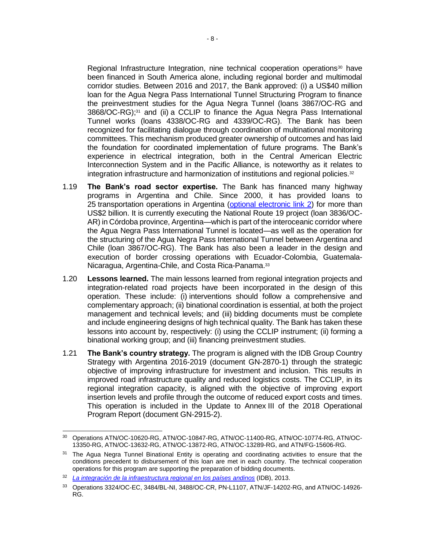Regional Infrastructure Integration, nine technical cooperation operations<sup>30</sup> have been financed in South America alone, including regional border and multimodal corridor studies. Between 2016 and 2017, the Bank approved: (i) a US\$40 million loan for the Agua Negra Pass International Tunnel Structuring Program to finance the preinvestment studies for the Agua Negra Tunnel (loans 3867/OC-RG and 3868/OC-RG);<sup>31</sup> and (ii) a CCLIP to finance the Agua Negra Pass International Tunnel works (loans 4338/OC-RG and 4339/OC-RG). The Bank has been recognized for facilitating dialogue through coordination of multinational monitoring committees. This mechanism produced greater ownership of outcomes and has laid the foundation for coordinated implementation of future programs. The Bank's experience in electrical integration, both in the Central American Electric Interconnection System and in the Pacific Alliance, is noteworthy as it relates to integration infrastructure and harmonization of institutions and regional policies.<sup>32</sup>

- 1.19 **The Bank's road sector expertise.** The Bank has financed many highway programs in Argentina and Chile. Since 2000, it has provided loans to 25 transportation operations in Argentina [\(optional electronic link 2\)](http://idbdocs.iadb.org/wsdocs/getDocument.aspx?DOCNUM=EZSHARE-30346992-22) for more than US\$2 billion. It is currently executing the National Route 19 project (loan 3836/OC-AR) in Córdoba province, Argentina—which is part of the interoceanic corridor where the Agua Negra Pass International Tunnel is located—as well as the operation for the structuring of the Agua Negra Pass International Tunnel between Argentina and Chile (loan 3867/OC-RG). The Bank has also been a leader in the design and execution of border crossing operations with Ecuador-Colombia, Guatemala-Nicaragua, Argentina-Chile, and Costa Rica-Panama.<sup>33</sup>
- 1.20 **Lessons learned.** The main lessons learned from regional integration projects and integration-related road projects have been incorporated in the design of this operation. These include: (i) interventions should follow a comprehensive and complementary approach; (ii) binational coordination is essential, at both the project management and technical levels; and (iii) bidding documents must be complete and include engineering designs of high technical quality. The Bank has taken these lessons into account by, respectively: (i) using the CCLIP instrument; (ii) forming a binational working group; and (iii) financing preinvestment studies.
- 1.21 **The Bank's country strategy.** The program is aligned with the IDB Group Country Strategy with Argentina 2016-2019 (document GN-2870-1) through the strategic objective of improving infrastructure for investment and inclusion. This results in improved road infrastructure quality and reduced logistics costs. The CCLIP, in its regional integration capacity, is aligned with the objective of improving export insertion levels and profile through the outcome of reduced export costs and times. This operation is included in the Update to Annex III of the 2018 Operational Program Report (document GN-2915-2).

 <sup>30</sup> Operations ATN/OC-10620-RG, ATN/OC-10847-RG, ATN/OC-11400-RG, ATN/OC-10774-RG, ATN/OC-13350-RG, ATN/OC-13632-RG, ATN/OC-13872-RG, ATN/OC-13289-RG, and ATN/FG-15606-RG.

<sup>&</sup>lt;sup>31</sup> The Agua Negra Tunnel Binational Entity is operating and coordinating activities to ensure that the conditions precedent to disbursement of this loan are met in each country. The technical cooperation operations for this program are supporting the preparation of bidding documents.

<sup>32</sup> *[La integración de la infraestructura regional en los países andinos](https://publications.iadb.org/bitstream/handle/11319/3482/La%20Integracion%20de%20la%20Infraestructura%20Regional%20en%20los%20Paises%20Andinos%20.pdf?sequence=1&isAllowed=y)* (IDB), 2013.

<sup>33</sup> Operations 3324/OC-EC, 3484/BL-NI, 3488/OC-CR, PN-L1107, ATN/JF-14202-RG, and ATN/OC-14926- RG.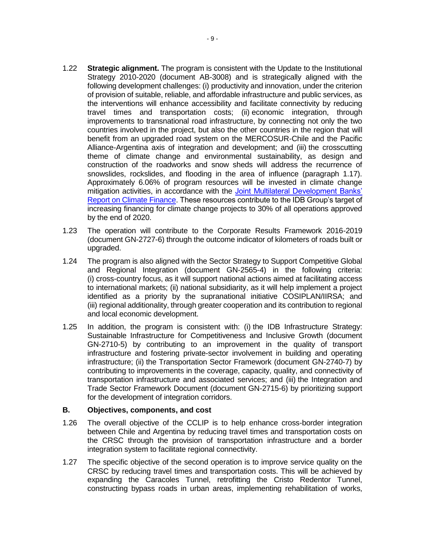- 1.22 **Strategic alignment.** The program is consistent with the Update to the Institutional Strategy 2010-2020 (document AB-3008) and is strategically aligned with the following development challenges: (i) productivity and innovation, under the criterion of provision of suitable, reliable, and affordable infrastructure and public services, as the interventions will enhance accessibility and facilitate connectivity by reducing travel times and transportation costs; (ii) economic integration, through improvements to transnational road infrastructure, by connecting not only the two countries involved in the project, but also the other countries in the region that will benefit from an upgraded road system on the MERCOSUR-Chile and the Pacific Alliance-Argentina axis of integration and development; and (iii) the crosscutting theme of climate change and environmental sustainability, as design and construction of the roadworks and snow sheds will address the recurrence of snowslides, rockslides, and flooding in the area of influence (paragraph 1.17). Approximately 6.06% of program resources will be invested in climate change mitigation activities, in accordance with the [Joint Multilateral Development Banks'](http://idbdocs.iadb.org/wsdocs/getDocument.aspx?DOCNUM=EZSHARE-30346992-6)  [Report on Climate Finance.](http://idbdocs.iadb.org/wsdocs/getDocument.aspx?DOCNUM=EZSHARE-30346992-6) These resources contribute to the IDB Group's target of increasing financing for climate change projects to 30% of all operations approved by the end of 2020.
- 1.23 The operation will contribute to the Corporate Results Framework 2016-2019 (document GN-2727-6) through the outcome indicator of kilometers of roads built or upgraded.
- 1.24 The program is also aligned with the Sector Strategy to Support Competitive Global and Regional Integration (document GN-2565-4) in the following criteria: (i) cross-country focus, as it will support national actions aimed at facilitating access to international markets; (ii) national subsidiarity, as it will help implement a project identified as a priority by the supranational initiative COSIPLAN/IIRSA; and (iii) regional additionality, through greater cooperation and its contribution to regional and local economic development.
- 1.25 In addition, the program is consistent with: (i) the IDB Infrastructure Strategy: Sustainable Infrastructure for Competitiveness and Inclusive Growth (document GN-2710-5) by contributing to an improvement in the quality of transport infrastructure and fostering private-sector involvement in building and operating infrastructure; (ii) the Transportation Sector Framework (document GN-2740-7) by contributing to improvements in the coverage, capacity, quality, and connectivity of transportation infrastructure and associated services; and (iii) the Integration and Trade Sector Framework Document (document GN-2715-6) by prioritizing support for the development of integration corridors.

### **B. Objectives, components, and cost**

- 1.26 The overall objective of the CCLIP is to help enhance cross-border integration between Chile and Argentina by reducing travel times and transportation costs on the CRSC through the provision of transportation infrastructure and a border integration system to facilitate regional connectivity.
- 1.27 The specific objective of the second operation is to improve service quality on the CRSC by reducing travel times and transportation costs. This will be achieved by expanding the Caracoles Tunnel, retrofitting the Cristo Redentor Tunnel, constructing bypass roads in urban areas, implementing rehabilitation of works,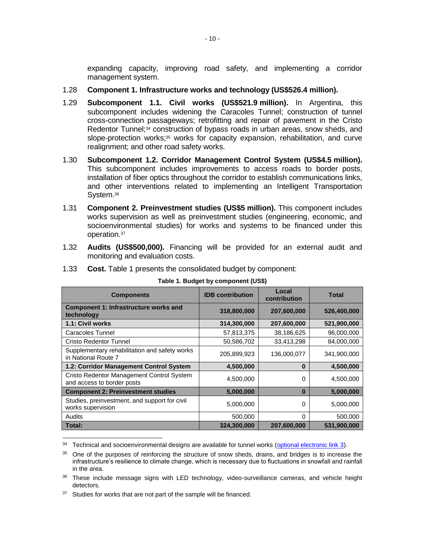expanding capacity, improving road safety, and implementing a corridor management system.

- 1.28 **Component 1. Infrastructure works and technology (US\$526.4 million).**
- 1.29 **Subcomponent 1.1. Civil works (US\$521.9 million).** In Argentina, this subcomponent includes widening the Caracoles Tunnel; construction of tunnel cross-connection passageways; retrofitting and repair of pavement in the Cristo Redentor Tunnel;<sup>34</sup> construction of bypass roads in urban areas, snow sheds, and slope-protection works;<sup>35</sup> works for capacity expansion, rehabilitation, and curve realignment; and other road safety works.
- 1.30 **Subcomponent 1.2. Corridor Management Control System (US\$4.5 million).** This subcomponent includes improvements to access roads to border posts, installation of fiber optics throughout the corridor to establish communications links, and other interventions related to implementing an Intelligent Transportation System.<sup>36</sup>
- 1.31 **Component 2. Preinvestment studies (US\$5 million).** This component includes works supervision as well as preinvestment studies (engineering, economic, and socioenvironmental studies) for works and systems to be financed under this operation.<sup>37</sup>
- 1.32 **Audits (US\$500,000).** Financing will be provided for an external audit and monitoring and evaluation costs.

| <b>Components</b>                                                       | <b>IDB contribution</b> | Local<br>contribution | <b>Total</b> |
|-------------------------------------------------------------------------|-------------------------|-----------------------|--------------|
| <b>Component 1: Infrastructure works and</b><br>technology              | 318,800,000             | 207,600,000           | 526,400,000  |
| 1.1: Civil works                                                        | 314,300,000             | 207,600,000           | 521,900,000  |
| <b>Caracoles Tunnel</b>                                                 | 57,813,375              | 38,186,625            | 96,000,000   |
| <b>Cristo Redentor Tunnel</b>                                           | 50,586,702              | 33,413,298            | 84,000,000   |
| Supplementary rehabilitation and safety works<br>in National Route 7    | 205,899,923             | 136,000,077           | 341,900,000  |
| 1.2: Corridor Management Control System                                 | 4,500,000               | $\bf{0}$              | 4,500,000    |
| Cristo Redentor Management Control System<br>and access to border posts | 4,500,000               | $\Omega$              | 4,500,000    |
| <b>Component 2: Preinvestment studies</b>                               | 5,000,000               | $\bf{0}$              | 5,000,000    |
| Studies, preinvestment, and support for civil<br>works supervision      | 5,000,000               | $\Omega$              | 5,000,000    |
| Audits                                                                  | 500,000                 | $\Omega$              | 500,000      |
| Total:                                                                  | 324,300,000             | 207,600,000           | 531,900,000  |

1.33 **Cost.** Table 1 presents the consolidated budget by component:

**Table 1. Budget by component (US\$)**

<sup>&</sup>lt;sup>34</sup> Technical and socioenvironmental designs are available for tunnel works [\(optional electronic link 3\)](http://idbdocs.iadb.org/wsdocs/getDocument.aspx?DOCNUM=EZSHARE-30346992-11).

<sup>&</sup>lt;sup>35</sup> One of the purposes of reinforcing the structure of snow sheds, drains, and bridges is to increase the infrastructure's resilience to climate change, which is necessary due to fluctuations in snowfall and rainfall in the area.

<sup>36</sup> These include message signs with LED technology, video-surveillance cameras, and vehicle height detectors.

<sup>&</sup>lt;sup>37</sup> Studies for works that are not part of the sample will be financed.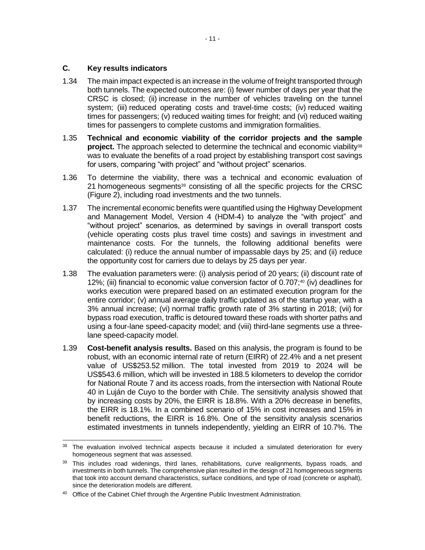## **C. Key results indicators**

- 1.34 The main impact expected is an increase in the volume of freight transported through both tunnels. The expected outcomes are: (i) fewer number of days per year that the CRSC is closed; (ii) increase in the number of vehicles traveling on the tunnel system; (iii) reduced operating costs and travel-time costs; (iv) reduced waiting times for passengers; (v) reduced waiting times for freight; and (vi) reduced waiting times for passengers to complete customs and immigration formalities.
- 1.35 **Technical and economic viability of the corridor projects and the sample project.** The approach selected to determine the technical and economic viability<sup>38</sup> was to evaluate the benefits of a road project by establishing transport cost savings for users, comparing "with project" and "without project" scenarios.
- 1.36 To determine the viability, there was a technical and economic evaluation of 21 homogeneous segments<sup>39</sup> consisting of all the specific projects for the CRSC (Figure 2), including road investments and the two tunnels.
- 1.37 The incremental economic benefits were quantified using the Highway Development and Management Model, Version 4 (HDM-4) to analyze the "with project" and "without project" scenarios, as determined by savings in overall transport costs (vehicle operating costs plus travel time costs) and savings in investment and maintenance costs. For the tunnels, the following additional benefits were calculated: (i) reduce the annual number of impassable days by 25; and (ii) reduce the opportunity cost for carriers due to delays by 25 days per year.
- 1.38 The evaluation parameters were: (i) analysis period of 20 years; (ii) discount rate of 12%: (iii) financial to economic value conversion factor of 0.707;<sup>40</sup> (iv) deadlines for works execution were prepared based on an estimated execution program for the entire corridor; (v) annual average daily traffic updated as of the startup year, with a 3% annual increase; (vi) normal traffic growth rate of 3% starting in 2018; (vii) for bypass road execution, traffic is detoured toward these roads with shorter paths and using a four-lane speed-capacity model; and (viii) third-lane segments use a threelane speed-capacity model.
- 1.39 **Cost-benefit analysis results.** Based on this analysis, the program is found to be robust, with an economic internal rate of return (EIRR) of 22.4% and a net present value of US\$253.52 million. The total invested from 2019 to 2024 will be US\$543.6 million, which will be invested in 188.5 kilometers to develop the corridor for National Route 7 and its access roads, from the intersection with National Route 40 in Luján de Cuyo to the border with Chile. The sensitivity analysis showed that by increasing costs by 20%, the EIRR is 18.8%. With a 20% decrease in benefits, the EIRR is 18.1%. In a combined scenario of 15% in cost increases and 15% in benefit reductions, the EIRR is 16.8%. One of the sensitivity analysis scenarios estimated investments in tunnels independently, yielding an EIRR of 10.7%. The

<sup>38</sup> The evaluation involved technical aspects because it included a simulated deterioration for every homogeneous segment that was assessed.

<sup>&</sup>lt;sup>39</sup> This includes road widenings, third lanes, rehabilitations, curve realignments, bypass roads, and investments in both tunnels. The comprehensive plan resulted in the design of 21 homogeneous segments that took into account demand characteristics, surface conditions, and type of road (concrete or asphalt), since the deterioration models are different.

<sup>&</sup>lt;sup>40</sup> Office of the Cabinet Chief through the Argentine Public Investment Administration.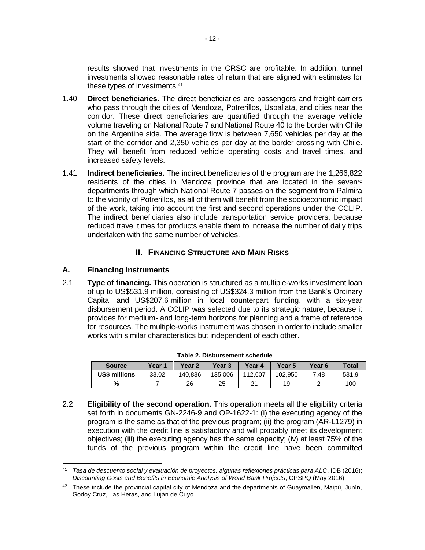results showed that investments in the CRSC are profitable. In addition, tunnel investments showed reasonable rates of return that are aligned with estimates for these types of investments.<sup>41</sup>

- 1.40 **Direct beneficiaries.** The direct beneficiaries are passengers and freight carriers who pass through the cities of Mendoza, Potrerillos, Uspallata, and cities near the corridor. These direct beneficiaries are quantified through the average vehicle volume traveling on National Route 7 and National Route 40 to the border with Chile on the Argentine side. The average flow is between 7,650 vehicles per day at the start of the corridor and 2,350 vehicles per day at the border crossing with Chile. They will benefit from reduced vehicle operating costs and travel times, and increased safety levels.
- 1.41 **Indirect beneficiaries.** The indirect beneficiaries of the program are the 1,266,822 residents of the cities in Mendoza province that are located in the seven $42$ departments through which National Route 7 passes on the segment from Palmira to the vicinity of Potrerillos, as all of them will benefit from the socioeconomic impact of the work, taking into account the first and second operations under the CCLIP. The indirect beneficiaries also include transportation service providers, because reduced travel times for products enable them to increase the number of daily trips undertaken with the same number of vehicles.

## **II. FINANCING STRUCTURE AND MAIN RISKS**

## **A. Financing instruments**

2.1 **Type of financing.** This operation is structured as a multiple-works investment loan of up to US\$531.9 million, consisting of US\$324.3 million from the Bank's Ordinary Capital and US\$207.6 million in local counterpart funding, with a six-year disbursement period. A CCLIP was selected due to its strategic nature, because it provides for medium- and long-term horizons for planning and a frame of reference for resources. The multiple-works instrument was chosen in order to include smaller works with similar characteristics but independent of each other.

| <b>Source</b>        | Year 1 | Year 2  | Year <sub>3</sub> | Year 4  | Year 5  | Year 6 | <b>Total</b> |  |  |  |  |  |  |
|----------------------|--------|---------|-------------------|---------|---------|--------|--------------|--|--|--|--|--|--|
| <b>US\$ millions</b> | 33.02  | 140.836 | 135,006           | 112.607 | 102.950 | 7.48   | 531.9        |  |  |  |  |  |  |
| %                    |        | 26      | 25                | າາ      | 19      |        | 100          |  |  |  |  |  |  |

| Table 2. Disbursement schedule |  |
|--------------------------------|--|
|--------------------------------|--|

2.2 **Eligibility of the second operation.** This operation meets all the eligibility criteria set forth in documents GN-2246-9 and OP-1622-1: (i) the executing agency of the program is the same as that of the previous program; (ii) the program (AR-L1279) in execution with the credit line is satisfactory and will probably meet its development objectives; (iii) the executing agency has the same capacity; (iv) at least 75% of the funds of the previous program within the credit line have been committed

 $\overline{a}$ <sup>41</sup> *Tasa de descuento social y evaluación de proyectos: algunas reflexiones prácticas para ALC*, IDB (2016); *Discounting Costs and Benefits in Economic Analysis of World Bank Projects*, OPSPQ (May 2016).

<sup>&</sup>lt;sup>42</sup> These include the provincial capital city of Mendoza and the departments of Guaymallén, Maipú, Junín, Godoy Cruz, Las Heras, and Luján de Cuyo.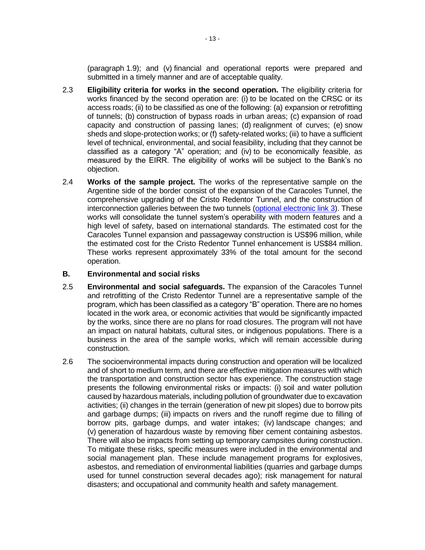(paragraph 1.9); and (v) financial and operational reports were prepared and submitted in a timely manner and are of acceptable quality.

- 2.3 **Eligibility criteria for works in the second operation.** The eligibility criteria for works financed by the second operation are: (i) to be located on the CRSC or its access roads; (ii) to be classified as one of the following: (a) expansion or retrofitting of tunnels; (b) construction of bypass roads in urban areas; (c) expansion of road capacity and construction of passing lanes; (d) realignment of curves; (e) snow sheds and slope-protection works; or (f) safety-related works; (iii) to have a sufficient level of technical, environmental, and social feasibility, including that they cannot be classified as a category "A" operation; and (iv) to be economically feasible, as measured by the EIRR. The eligibility of works will be subject to the Bank's no objection.
- 2.4 **Works of the sample project.** The works of the representative sample on the Argentine side of the border consist of the expansion of the Caracoles Tunnel, the comprehensive upgrading of the Cristo Redentor Tunnel, and the construction of interconnection galleries between the two tunnels [\(optional electronic link 3\)](http://idbdocs.iadb.org/wsdocs/getDocument.aspx?DOCNUM=EZSHARE-30346992-11). These works will consolidate the tunnel system's operability with modern features and a high level of safety, based on international standards. The estimated cost for the Caracoles Tunnel expansion and passageway construction is US\$96 million, while the estimated cost for the Cristo Redentor Tunnel enhancement is US\$84 million. These works represent approximately 33% of the total amount for the second operation.

### **B. Environmental and social risks**

- 2.5 **Environmental and social safeguards.** The expansion of the Caracoles Tunnel and retrofitting of the Cristo Redentor Tunnel are a representative sample of the program, which has been classified as a category "B" operation. There are no homes located in the work area, or economic activities that would be significantly impacted by the works, since there are no plans for road closures. The program will not have an impact on natural habitats, cultural sites, or indigenous populations. There is a business in the area of the sample works, which will remain accessible during construction.
- 2.6 The socioenvironmental impacts during construction and operation will be localized and of short to medium term, and there are effective mitigation measures with which the transportation and construction sector has experience. The construction stage presents the following environmental risks or impacts: (i) soil and water pollution caused by hazardous materials, including pollution of groundwater due to excavation activities; (ii) changes in the terrain (generation of new pit slopes) due to borrow pits and garbage dumps; (iii) impacts on rivers and the runoff regime due to filling of borrow pits, garbage dumps, and water intakes; (iv) landscape changes; and (v) generation of hazardous waste by removing fiber cement containing asbestos. There will also be impacts from setting up temporary campsites during construction. To mitigate these risks, specific measures were included in the environmental and social management plan. These include management programs for explosives, asbestos, and remediation of environmental liabilities (quarries and garbage dumps used for tunnel construction several decades ago); risk management for natural disasters; and occupational and community health and safety management.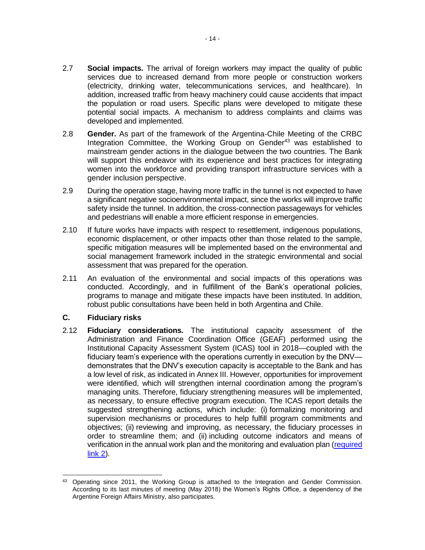- 2.7 **Social impacts.** The arrival of foreign workers may impact the quality of public services due to increased demand from more people or construction workers (electricity, drinking water, telecommunications services, and healthcare). In addition, increased traffic from heavy machinery could cause accidents that impact the population or road users. Specific plans were developed to mitigate these potential social impacts. A mechanism to address complaints and claims was developed and implemented.
- 2.8 **Gender.** As part of the framework of the Argentina-Chile Meeting of the CRBC Integration Committee, the Working Group on Gender<sup>43</sup> was established to mainstream gender actions in the dialogue between the two countries. The Bank will support this endeavor with its experience and best practices for integrating women into the workforce and providing transport infrastructure services with a gender inclusion perspective.
- 2.9 During the operation stage, having more traffic in the tunnel is not expected to have a significant negative socioenvironmental impact, since the works will improve traffic safety inside the tunnel. In addition, the cross-connection passageways for vehicles and pedestrians will enable a more efficient response in emergencies.
- 2.10 If future works have impacts with respect to resettlement, indigenous populations, economic displacement, or other impacts other than those related to the sample, specific mitigation measures will be implemented based on the environmental and social management framework included in the strategic environmental and social assessment that was prepared for the operation.
- 2.11 An evaluation of the environmental and social impacts of this operations was conducted. Accordingly, and in fulfillment of the Bank's operational policies, programs to manage and mitigate these impacts have been instituted. In addition, robust public consultations have been held in both Argentina and Chile.

## **C. Fiduciary risks**

2.12 **Fiduciary considerations.** The institutional capacity assessment of the Administration and Finance Coordination Office (GEAF) performed using the Institutional Capacity Assessment System (ICAS) tool in 2018—coupled with the fiduciary team's experience with the operations currently in execution by the DNV demonstrates that the DNV's execution capacity is acceptable to the Bank and has a low level of risk, as indicated in Annex III. However, opportunities for improvement were identified, which will strengthen internal coordination among the program's managing units. Therefore, fiduciary strengthening measures will be implemented, as necessary, to ensure effective program execution. The ICAS report details the suggested strengthening actions, which include: (i) formalizing monitoring and supervision mechanisms or procedures to help fulfill program commitments and objectives; (ii) reviewing and improving, as necessary, the fiduciary processes in order to streamline them; and (ii) including outcome indicators and means of verification in the annual work plan and the monitoring and evaluation plan [\(required](http://idbdocs.iadb.org/wsdocs/getDocument.aspx?DOCNUM=EZSHARE-30346992-10)  [link](http://idbdocs.iadb.org/wsdocs/getDocument.aspx?DOCNUM=EZSHARE-30346992-10) 2).

 <sup>43</sup> Operating since 2011, the Working Group is attached to the Integration and Gender Commission. According to its last minutes of meeting (May 2018) the Women's Rights Office, a dependency of the Argentine Foreign Affairs Ministry, also participates.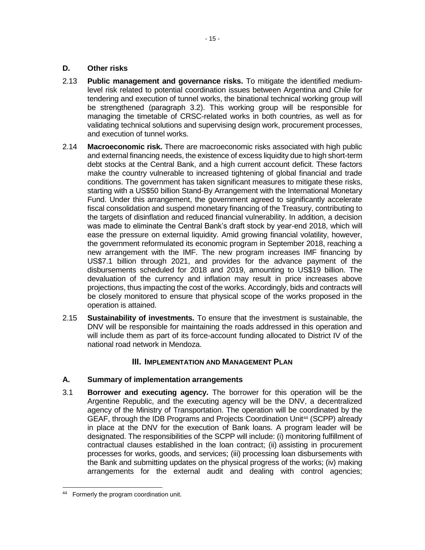## **D. Other risks**

- 2.13 **Public management and governance risks.** To mitigate the identified mediumlevel risk related to potential coordination issues between Argentina and Chile for tendering and execution of tunnel works, the binational technical working group will be strengthened (paragraph 3.2). This working group will be responsible for managing the timetable of CRSC-related works in both countries, as well as for validating technical solutions and supervising design work, procurement processes, and execution of tunnel works.
- 2.14 **Macroeconomic risk.** There are macroeconomic risks associated with high public and external financing needs, the existence of excess liquidity due to high short-term debt stocks at the Central Bank, and a high current account deficit. These factors make the country vulnerable to increased tightening of global financial and trade conditions. The government has taken significant measures to mitigate these risks, starting with a US\$50 billion Stand-By Arrangement with the International Monetary Fund. Under this arrangement, the government agreed to significantly accelerate fiscal consolidation and suspend monetary financing of the Treasury, contributing to the targets of disinflation and reduced financial vulnerability. In addition, a decision was made to eliminate the Central Bank's draft stock by year-end 2018, which will ease the pressure on external liquidity. Amid growing financial volatility, however, the government reformulated its economic program in September 2018, reaching a new arrangement with the IMF. The new program increases IMF financing by US\$7.1 billion through 2021, and provides for the advance payment of the disbursements scheduled for 2018 and 2019, amounting to US\$19 billion. The devaluation of the currency and inflation may result in price increases above projections, thus impacting the cost of the works. Accordingly, bids and contracts will be closely monitored to ensure that physical scope of the works proposed in the operation is attained.
- 2.15 **Sustainability of investments.** To ensure that the investment is sustainable, the DNV will be responsible for maintaining the roads addressed in this operation and will include them as part of its force-account funding allocated to District IV of the national road network in Mendoza.

## **III. IMPLEMENTATION AND MANAGEMENT PLAN**

## **A. Summary of implementation arrangements**

3.1 **Borrower and executing agency.** The borrower for this operation will be the Argentine Republic, and the executing agency will be the DNV, a decentralized agency of the Ministry of Transportation. The operation will be coordinated by the GEAF, through the IDB Programs and Projects Coordination Unit<sup>44</sup> (SCPP) already in place at the DNV for the execution of Bank loans. A program leader will be designated. The responsibilities of the SCPP will include: (i) monitoring fulfillment of contractual clauses established in the loan contract; (ii) assisting in procurement processes for works, goods, and services; (iii) processing loan disbursements with the Bank and submitting updates on the physical progress of the works; (iv) making arrangements for the external audit and dealing with control agencies;

<sup>44</sup> Formerly the program coordination unit.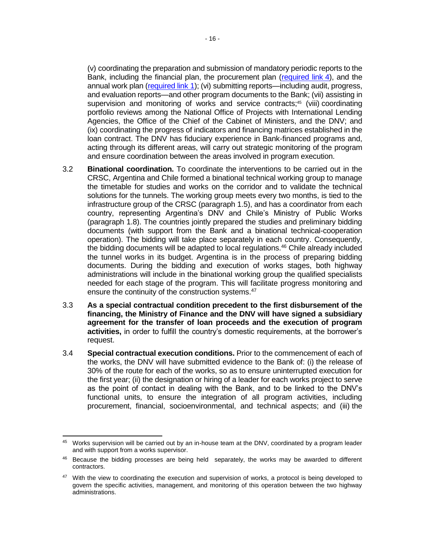(v) coordinating the preparation and submission of mandatory periodic reports to the Bank, including the financial plan, the procurement plan [\(required link](http://idbdocs.iadb.org/wsdocs/getDocument.aspx?DOCNUM=EZSHARE-30346992-2) 4), and the annual work plan [\(required link](http://idbdocs.iadb.org/wsdocs/getDocument.aspx?DOCNUM=EZSHARE-30346992-3) 1); (vi) submitting reports—including audit, progress, and evaluation reports—and other program documents to the Bank; (vii) assisting in supervision and monitoring of works and service contracts;<sup>45</sup> (viii) coordinating portfolio reviews among the National Office of Projects with International Lending Agencies, the Office of the Chief of the Cabinet of Ministers, and the DNV; and (ix) coordinating the progress of indicators and financing matrices established in the loan contract. The DNV has fiduciary experience in Bank-financed programs and, acting through its different areas, will carry out strategic monitoring of the program and ensure coordination between the areas involved in program execution.

- 3.2 **Binational coordination.** To coordinate the interventions to be carried out in the CRSC, Argentina and Chile formed a binational technical working group to manage the timetable for studies and works on the corridor and to validate the technical solutions for the tunnels. The working group meets every two months, is tied to the infrastructure group of the CRSC (paragraph 1.5), and has a coordinator from each country, representing Argentina's DNV and Chile's Ministry of Public Works (paragraph 1.8). The countries jointly prepared the studies and preliminary bidding documents (with support from the Bank and a binational technical-cooperation operation). The bidding will take place separately in each country. Consequently, the bidding documents will be adapted to local regulations.<sup>46</sup> Chile already included the tunnel works in its budget. Argentina is in the process of preparing bidding documents. During the bidding and execution of works stages, both highway administrations will include in the binational working group the qualified specialists needed for each stage of the program. This will facilitate progress monitoring and ensure the continuity of the construction systems.<sup>47</sup>
- 3.3 **As a special contractual condition precedent to the first disbursement of the financing, the Ministry of Finance and the DNV will have signed a subsidiary agreement for the transfer of loan proceeds and the execution of program activities,** in order to fulfill the country's domestic requirements, at the borrower's request.
- 3.4 **Special contractual execution conditions.** Prior to the commencement of each of the works, the DNV will have submitted evidence to the Bank of: (i) the release of 30% of the route for each of the works, so as to ensure uninterrupted execution for the first year; (ii) the designation or hiring of a leader for each works project to serve as the point of contact in dealing with the Bank, and to be linked to the DNV's functional units, to ensure the integration of all program activities, including procurement, financial, socioenvironmental, and technical aspects; and (iii) the

 <sup>45</sup> Works supervision will be carried out by an in-house team at the DNV, coordinated by a program leader and with support from a works supervisor.

<sup>&</sup>lt;sup>46</sup> Because the bidding processes are being held separately, the works may be awarded to different contractors.

<sup>&</sup>lt;sup>47</sup> With the view to coordinating the execution and supervision of works, a protocol is being developed to govern the specific activities, management, and monitoring of this operation between the two highway administrations.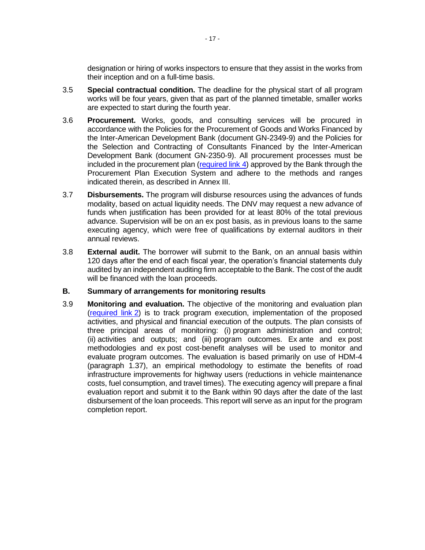designation or hiring of works inspectors to ensure that they assist in the works from their inception and on a full-time basis.

- 3.5 **Special contractual condition.** The deadline for the physical start of all program works will be four years, given that as part of the planned timetable, smaller works are expected to start during the fourth year.
- 3.6 **Procurement.** Works, goods, and consulting services will be procured in accordance with the Policies for the Procurement of Goods and Works Financed by the Inter-American Development Bank (document GN-2349-9) and the Policies for the Selection and Contracting of Consultants Financed by the Inter-American Development Bank (document GN-2350-9). All procurement processes must be included in the procurement plan [\(required link](http://idbdocs.iadb.org/wsdocs/getDocument.aspx?DOCNUM=EZSHARE-30346992-2) 4) approved by the Bank through the Procurement Plan Execution System and adhere to the methods and ranges indicated therein, as described in Annex III.
- 3.7 **Disbursements.** The program will disburse resources using the advances of funds modality, based on actual liquidity needs. The DNV may request a new advance of funds when justification has been provided for at least 80% of the total previous advance. Supervision will be on an ex post basis, as in previous loans to the same executing agency, which were free of qualifications by external auditors in their annual reviews.
- 3.8 **External audit.** The borrower will submit to the Bank, on an annual basis within 120 days after the end of each fiscal year, the operation's financial statements duly audited by an independent auditing firm acceptable to the Bank. The cost of the audit will be financed with the loan proceeds.

### **B. Summary of arrangements for monitoring results**

3.9 **Monitoring and evaluation.** The objective of the monitoring and evaluation plan [\(required link](http://idbdocs.iadb.org/wsdocs/getDocument.aspx?DOCNUM=EZSHARE-30346992-10) 2) is to track program execution, implementation of the proposed activities, and physical and financial execution of the outputs. The plan consists of three principal areas of monitoring: (i) program administration and control; (ii) activities and outputs; and (iii) program outcomes. Ex ante and ex post methodologies and ex post cost-benefit analyses will be used to monitor and evaluate program outcomes. The evaluation is based primarily on use of HDM-4 (paragraph 1.37), an empirical methodology to estimate the benefits of road infrastructure improvements for highway users (reductions in vehicle maintenance costs, fuel consumption, and travel times). The executing agency will prepare a final evaluation report and submit it to the Bank within 90 days after the date of the last disbursement of the loan proceeds. This report will serve as an input for the program completion report.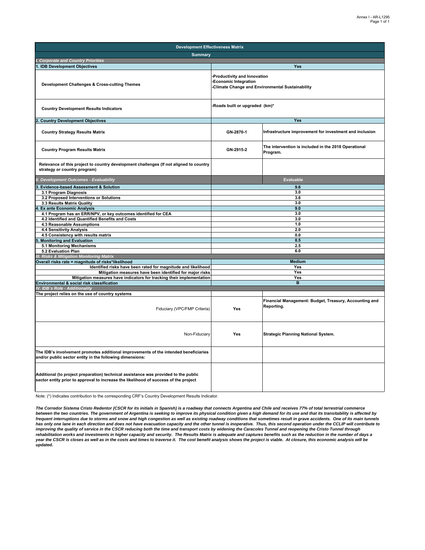| <b>Development Effectiveness Matrix</b>                                                                                                                                     |                                                                                                                      |                                                                      |  |  |  |  |  |  |  |
|-----------------------------------------------------------------------------------------------------------------------------------------------------------------------------|----------------------------------------------------------------------------------------------------------------------|----------------------------------------------------------------------|--|--|--|--|--|--|--|
| <b>Summary</b>                                                                                                                                                              |                                                                                                                      |                                                                      |  |  |  |  |  |  |  |
| <b>Corporate and Country Priorities</b>                                                                                                                                     |                                                                                                                      |                                                                      |  |  |  |  |  |  |  |
| . IDB Development Objectives                                                                                                                                                | Yes                                                                                                                  |                                                                      |  |  |  |  |  |  |  |
| Development Challenges & Cross-cutting Themes                                                                                                                               | Productivity and Innovation<br><b>Economic Integration</b><br><b>Climate Change and Environmental Sustainability</b> |                                                                      |  |  |  |  |  |  |  |
| <b>Country Development Results Indicators</b>                                                                                                                               | Roads built or upgraded (km)*                                                                                        |                                                                      |  |  |  |  |  |  |  |
| <b>Country Development Objectives</b>                                                                                                                                       |                                                                                                                      | Yes                                                                  |  |  |  |  |  |  |  |
| <b>Country Strategy Results Matrix</b>                                                                                                                                      | GN-2870-1                                                                                                            | Infrastructure improvement for investment and inclusion              |  |  |  |  |  |  |  |
| <b>Country Program Results Matrix</b>                                                                                                                                       | GN-2915-2                                                                                                            | The intervention is included in the 2018 Operational<br>Program.     |  |  |  |  |  |  |  |
| Relevance of this project to country development challenges (If not aligned to country<br>strategy or country program)                                                      |                                                                                                                      |                                                                      |  |  |  |  |  |  |  |
| II. Development Outcomes - Evaluability                                                                                                                                     |                                                                                                                      | <b>Evaluable</b>                                                     |  |  |  |  |  |  |  |
| 3. Evidence-based Assessment & Solution                                                                                                                                     | 9.6                                                                                                                  |                                                                      |  |  |  |  |  |  |  |
| 3.1 Program Diagnosis                                                                                                                                                       | 3.0                                                                                                                  |                                                                      |  |  |  |  |  |  |  |
| 3.2 Proposed Interventions or Solutions                                                                                                                                     |                                                                                                                      | 3.6                                                                  |  |  |  |  |  |  |  |
| 3.3 Results Matrix Quality                                                                                                                                                  |                                                                                                                      | 3.0                                                                  |  |  |  |  |  |  |  |
| <b>Ex ante Economic Analysis</b>                                                                                                                                            |                                                                                                                      | 9.0                                                                  |  |  |  |  |  |  |  |
| 4.1 Program has an ERR/NPV, or key outcomes identified for CEA                                                                                                              |                                                                                                                      | 3.0                                                                  |  |  |  |  |  |  |  |
| 4.2 Identified and Quantified Benefits and Costs                                                                                                                            | 3.0<br>1.0                                                                                                           |                                                                      |  |  |  |  |  |  |  |
| 4.3 Reasonable Assumptions<br>4.4 Sensitivity Analysis                                                                                                                      | 2.0                                                                                                                  |                                                                      |  |  |  |  |  |  |  |
| 4.5 Consistency with results matrix                                                                                                                                         | 0.0                                                                                                                  |                                                                      |  |  |  |  |  |  |  |
| <b>Monitoring and Evaluation</b>                                                                                                                                            | 8.5                                                                                                                  |                                                                      |  |  |  |  |  |  |  |
| 5.1 Monitoring Mechanisms                                                                                                                                                   | 2.5                                                                                                                  |                                                                      |  |  |  |  |  |  |  |
| 5.2 Evaluation Plan                                                                                                                                                         | 6.0                                                                                                                  |                                                                      |  |  |  |  |  |  |  |
| <b>Risks &amp; Mitigation Monitoring Matrix</b>                                                                                                                             |                                                                                                                      |                                                                      |  |  |  |  |  |  |  |
| Overall risks rate = magnitude of risks*likelihood                                                                                                                          |                                                                                                                      | Medium                                                               |  |  |  |  |  |  |  |
| Identified risks have been rated for magnitude and likelihood                                                                                                               | Yes                                                                                                                  |                                                                      |  |  |  |  |  |  |  |
| Mitigation measures have been identified for major risks                                                                                                                    | Yes                                                                                                                  |                                                                      |  |  |  |  |  |  |  |
| Mitigation measures have indicators for tracking their implementation                                                                                                       |                                                                                                                      | Yes                                                                  |  |  |  |  |  |  |  |
| Environmental & social risk classification                                                                                                                                  |                                                                                                                      | $\overline{B}$                                                       |  |  |  |  |  |  |  |
| IV. IDB's Role - Additionality<br>The project relies on the use of country systems                                                                                          |                                                                                                                      |                                                                      |  |  |  |  |  |  |  |
| Fiduciary (VPC/FMP Criteria)                                                                                                                                                | Yes                                                                                                                  | Financial Management: Budget, Treasury, Accounting and<br>Reporting. |  |  |  |  |  |  |  |
| Non-Fiduciary                                                                                                                                                               | Yes                                                                                                                  | <b>Strategic Planning National System.</b>                           |  |  |  |  |  |  |  |
| The IDB's involvement promotes additional improvements of the intended beneficiaries<br>and/or public sector entity in the following dimensions:                            |                                                                                                                      |                                                                      |  |  |  |  |  |  |  |
| Additional (to project preparation) technical assistance was provided to the public<br>sector entity prior to approval to increase the likelihood of success of the project |                                                                                                                      |                                                                      |  |  |  |  |  |  |  |

Note: (\*) Indicates contribution to the corresponding CRF's Country Development Results Indicator.

*The Corredor Sistema Cristo Redentor (CSCR for its initials in Spanish) is a roadway that connects Argentina and Chile and receives 77% of total terrestrial commerce between the two countries. The government of Argentina is seeking to improve its physical condition given a high demand for its use and that its transitability is affected by*  frequent interruptions due to storms and snow and high congestion as well as existing roadway conditions that sometimes result in grave accidents. One of its main tunnels<br>has only one lane in each direction and does not h *improving the quality of service in the CSCR reducing both the time and transport costs by widening the Caracoles Tunnel and reopening the Cristo Tunnel through rehabilitation works and investments in higher capacity and security. The Results Matrix is adequate and captures benefits such as the reduction in the number of days a year the CSCR is closes as well as in the costs and times to traverse it. The cost benefit analysis shows the project is viable. At closure, this economic analysis will be updated.*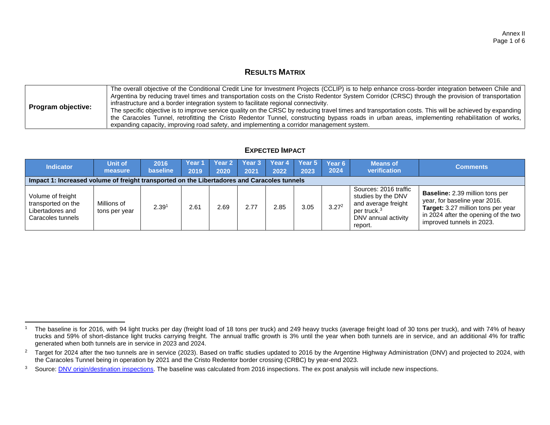# **RESULTS MATRIX**

|                    | The overall objective of the Conditional Credit Line for Investment Projects (CCLIP) is to help enhance cross-border integration between Chile and<br>Argentina by reducing travel times and transportation costs on the Cristo Redentor System Corridor (CRSC) through the provision of transportation<br>infrastructure and a border integration system to facilitate regional connectivity.        |
|--------------------|-------------------------------------------------------------------------------------------------------------------------------------------------------------------------------------------------------------------------------------------------------------------------------------------------------------------------------------------------------------------------------------------------------|
| Program objective: | The specific objective is to improve service quality on the CRSC by reducing travel times and transportation costs. This will be achieved by expanding<br>the Caracoles Tunnel, retrofitting the Cristo Redentor Tunnel, constructing bypass roads in urban areas, implementing rehabilitation of works,<br>expanding capacity, improving road safety, and implementing a corridor management system. |

## **EXPECTED IMPACT**

| <b>Indicator</b>                                                                            | <b>Unit of</b><br>measure    | 2016<br><b>baseline</b> | Year<br>2019 | Year 2<br>2020 | Year 3<br>2021 | Year 4<br>2022 | Year 5<br>2023 | Year 6<br>2024    | <b>Means of</b><br>verification                                                                                                 | <b>Comments</b>                                                                                                                                                                    |  |
|---------------------------------------------------------------------------------------------|------------------------------|-------------------------|--------------|----------------|----------------|----------------|----------------|-------------------|---------------------------------------------------------------------------------------------------------------------------------|------------------------------------------------------------------------------------------------------------------------------------------------------------------------------------|--|
| Impact 1: Increased volume of freight transported on the Libertadores and Caracoles tunnels |                              |                         |              |                |                |                |                |                   |                                                                                                                                 |                                                                                                                                                                                    |  |
| Volume of freight<br>transported on the<br>Libertadores and<br>Caracoles tunnels            | Millions of<br>tons per year | 2.39 <sup>1</sup>       | 2.61         | 2.69           | 2.77           | 2.85           | 3.05           | 3.27 <sup>2</sup> | Sources: 2016 traffic<br>studies by the DNV<br>and average freight<br>per truck. <sup>3</sup><br>DNV annual activity<br>report. | <b>Baseline:</b> 2.39 million tons per<br>year, for baseline year 2016.<br>Target: 3.27 million tons per year<br>in 2024 after the opening of the two<br>improved tunnels in 2023. |  |

<sup>&</sup>lt;sup>1</sup> The baseline is for 2016, with 94 light trucks per day (freight load of 18 tons per truck) and 249 heavy trucks (average freight load of 30 tons per truck), and with 74% of heavy trucks and 59% of short-distance light trucks carrying freight. The annual traffic growth is 3% until the year when both tunnels are in service, and an additional 4% for traffic generated when both tunnels are in service in 2023 and 2024.

<sup>&</sup>lt;sup>2</sup> Target for 2024 after the two tunnels are in service (2023). Based on traffic studies updated to 2016 by the Argentine Highway Administration (DNV) and projected to 2024, with the Caracoles Tunnel being in operation by 2021 and the Cristo Redentor border crossing (CRBC) by year-end 2023.

<sup>&</sup>lt;sup>3</sup> Source: **DNV origin/destination inspections**. The baseline was calculated from 2016 inspections. The ex post analysis will include new inspections.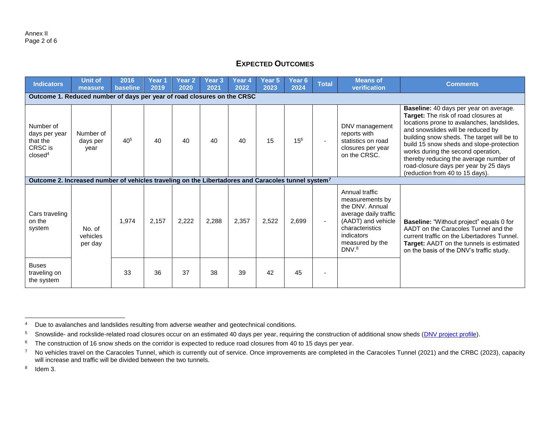## **EXPECTED OUTCOMES**

| <b>Indicators</b>                                                                                  | <b>Unit of</b><br>measure     | 2016<br>baseline | Year <sub>1</sub><br>2019 | Year 2<br>2020 | Year 3<br>2021 | Year 4<br>2022 | Year 5<br>2023 | Year <sub>6</sub><br>2024 | <b>Total</b> | <b>Means of</b><br>verification                                                                                                                                              | <b>Comments</b>                                                                                                                                                                                                                                                                                                                                                                                                         |  |
|----------------------------------------------------------------------------------------------------|-------------------------------|------------------|---------------------------|----------------|----------------|----------------|----------------|---------------------------|--------------|------------------------------------------------------------------------------------------------------------------------------------------------------------------------------|-------------------------------------------------------------------------------------------------------------------------------------------------------------------------------------------------------------------------------------------------------------------------------------------------------------------------------------------------------------------------------------------------------------------------|--|
| Outcome 1. Reduced number of days per year of road closures on the CRSC                            |                               |                  |                           |                |                |                |                |                           |              |                                                                                                                                                                              |                                                                                                                                                                                                                                                                                                                                                                                                                         |  |
| Number of<br>days per year<br>that the<br>CRSC is<br>close <sup>4</sup>                            | Number of<br>days per<br>year | $40^{5}$         | 40                        | 40             | 40             | 40             | 15             | $15^{6}$                  |              | DNV management<br>reports with<br>statistics on road<br>closures per year<br>on the CRSC.                                                                                    | Baseline: 40 days per year on average.<br>Target: The risk of road closures at<br>locations prone to avalanches, landslides,<br>and snowslides will be reduced by<br>building snow sheds. The target will be to<br>build 15 snow sheds and slope-protection<br>works during the second operation,<br>thereby reducing the average number of<br>road-closure days per year by 25 days<br>(reduction from 40 to 15 days). |  |
| Outcome 2. Increased number of vehicles traveling on the Libertadores and Caracoles tunnel system7 |                               |                  |                           |                |                |                |                |                           |              |                                                                                                                                                                              |                                                                                                                                                                                                                                                                                                                                                                                                                         |  |
| Cars traveling<br>on the<br>system                                                                 | No. of<br>vehicles<br>per day | 1,974            | 2,157                     | 2,222          | 2,288          | 2,357          | 2,522          | 2,699                     |              | Annual traffic<br>measurements by<br>the DNV. Annual<br>average daily traffic<br>(AADT) and vehicle<br>characteristics<br>indicators<br>measured by the<br>DNV. <sup>8</sup> | <b>Baseline: "Without project" equals 0 for</b><br>AADT on the Caracoles Tunnel and the<br>current traffic on the Libertadores Tunnel.<br>Target: AADT on the tunnels is estimated<br>on the basis of the DNV's traffic study.                                                                                                                                                                                          |  |
| <b>Buses</b><br>traveling on<br>the system                                                         |                               | 33               | 36                        | 37             | 38             | 39             | 42             | 45                        |              |                                                                                                                                                                              |                                                                                                                                                                                                                                                                                                                                                                                                                         |  |

 <sup>4</sup> Due to avalanches and landslides resulting from adverse weather and geotechnical conditions.

<sup>&</sup>lt;sup>5</sup> Snowslide- and rockslide-related road closures occur on an estimated 40 days per year, requiring the construction of additional snow sheds (*DNV project profile*).

<sup>&</sup>lt;sup>6</sup> The construction of 16 snow sheds on the corridor is expected to reduce road closures from 40 to 15 days per year.

<sup>&</sup>lt;sup>7</sup> No vehicles travel on the Caracoles Tunnel, which is currently out of service. Once improvements are completed in the Caracoles Tunnel (2021) and the CRBC (2023), capacity will increase and traffic will be divided between the two tunnels.

<sup>8</sup> Idem 3.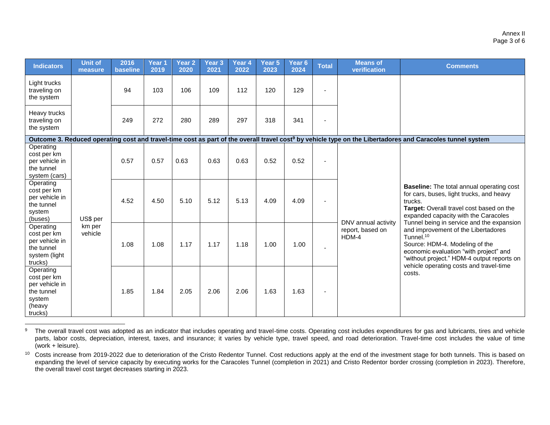| <b>Indicators</b>                                                                       | <b>Unit of</b><br>measure | 2016<br>baseline | Year 1<br>2019 | Year <sub>2</sub><br>2020 | Year <sub>3</sub><br>2021 | Year <sub>4</sub><br>2022 | Year 5<br>2023 | Year <sub>6</sub><br>2024 | <b>Total</b>             | <b>Means</b> of<br>verification                  | <b>Comments</b>                                                                                                                                                                                                                                                                                                                                                                                                                                                               |
|-----------------------------------------------------------------------------------------|---------------------------|------------------|----------------|---------------------------|---------------------------|---------------------------|----------------|---------------------------|--------------------------|--------------------------------------------------|-------------------------------------------------------------------------------------------------------------------------------------------------------------------------------------------------------------------------------------------------------------------------------------------------------------------------------------------------------------------------------------------------------------------------------------------------------------------------------|
| Light trucks<br>traveling on<br>the system                                              |                           | 94               | 103            | 106                       | 109                       | 112                       | 120            | 129                       |                          |                                                  |                                                                                                                                                                                                                                                                                                                                                                                                                                                                               |
| Heavy trucks<br>traveling on<br>the system                                              |                           | 249              | 272            | 280                       | 289                       | 297                       | 318            | 341                       |                          |                                                  |                                                                                                                                                                                                                                                                                                                                                                                                                                                                               |
|                                                                                         |                           |                  |                |                           |                           |                           |                |                           |                          |                                                  | Outcome 3. Reduced operating cost and travel-time cost as part of the overall travel cost <sup>9</sup> by vehicle type on the Libertadores and Caracoles tunnel system                                                                                                                                                                                                                                                                                                        |
| Operating<br>cost per km<br>per vehicle in<br>the tunnel<br>system (cars)               |                           | 0.57             | 0.57           | 0.63                      | 0.63                      | 0.63                      | 0.52           | 0.52                      |                          |                                                  |                                                                                                                                                                                                                                                                                                                                                                                                                                                                               |
| Operating<br>cost per km<br>per vehicle in<br>the tunnel<br>system<br>(buses)           | US\$ per                  | 4.52             | 4.50           | 5.10                      | 5.12                      | 5.13                      | 4.09           | 4.09                      |                          | DNV annual activity<br>report, based on<br>HDM-4 | <b>Baseline:</b> The total annual operating cost<br>for cars, buses, light trucks, and heavy<br>trucks.<br>Target: Overall travel cost based on the<br>expanded capacity with the Caracoles<br>Tunnel being in service and the expansion<br>and improvement of the Libertadores<br>Tunnel. <sup>10</sup><br>Source: HDM-4. Modeling of the<br>economic evaluation "with project" and<br>"without project." HDM-4 output reports on<br>vehicle operating costs and travel-time |
| Operating<br>cost per km<br>per vehicle in<br>the tunnel<br>system (light<br>trucks)    | km per<br>vehicle         | 1.08             | 1.08           | 1.17                      | 1.17                      | 1.18                      | 1.00           | 1.00                      | $\overline{\phantom{0}}$ |                                                  |                                                                                                                                                                                                                                                                                                                                                                                                                                                                               |
| Operating<br>cost per km<br>per vehicle in<br>the tunnel<br>system<br>(heavy<br>trucks) |                           |                  | 1.84           | 2.05                      | 2.06                      | 2.06                      | 1.63           | 1.63                      | costs.                   |                                                  |                                                                                                                                                                                                                                                                                                                                                                                                                                                                               |

<sup>&</sup>lt;sup>9</sup> The overall travel cost was adopted as an indicator that includes operating and travel-time costs. Operating cost includes expenditures for gas and lubricants, tires and vehicle parts, labor costs, depreciation, interest, taxes, and insurance; it varies by vehicle type, travel speed, and road deterioration. Travel-time cost includes the value of time  $(work + leisure)$ .

<sup>&</sup>lt;sup>10</sup> Costs increase from 2019-2022 due to deterioration of the Cristo Redentor Tunnel. Cost reductions apply at the end of the investment stage for both tunnels. This is based on expanding the level of service capacity by executing works for the Caracoles Tunnel (completion in 2021) and Cristo Redentor border crossing (completion in 2023). Therefore, the overall travel cost target decreases starting in 2023.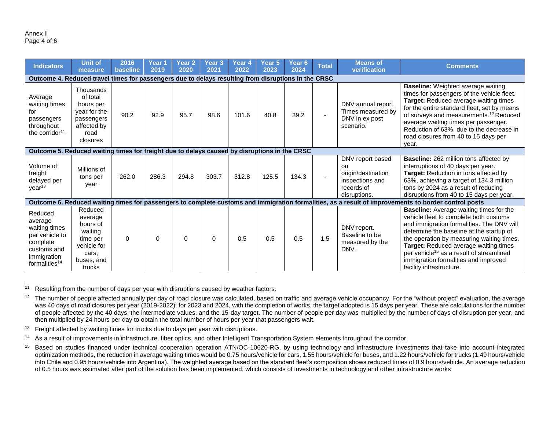| <b>Indicators</b>                                                                                                            | <b>Unit of</b><br>measure                                                                             | 2016<br>baseline | Year 1<br>2019 | Year <sub>2</sub><br>2020 | Year <sub>3</sub><br>2021 | Year 4<br>2022 | Year 5<br>2023 | Year 6<br>2024 | <b>Total</b> | <b>Means of</b><br>verification                                                                          | <b>Comments</b>                                                                                                                                                                                                                                                                                                                                                                                     |
|------------------------------------------------------------------------------------------------------------------------------|-------------------------------------------------------------------------------------------------------|------------------|----------------|---------------------------|---------------------------|----------------|----------------|----------------|--------------|----------------------------------------------------------------------------------------------------------|-----------------------------------------------------------------------------------------------------------------------------------------------------------------------------------------------------------------------------------------------------------------------------------------------------------------------------------------------------------------------------------------------------|
| Outcome 4. Reduced travel times for passengers due to delays resulting from disruptions in the CRSC                          |                                                                                                       |                  |                |                           |                           |                |                |                |              |                                                                                                          |                                                                                                                                                                                                                                                                                                                                                                                                     |
| Average<br>waiting times<br>for<br>passengers<br>throughout<br>the corridor <sup>11</sup>                                    | Thousands<br>of total<br>hours per<br>year for the<br>passengers<br>affected by<br>road<br>closures   | 90.2             | 92.9           | 95.7                      | 98.6                      | 101.6          | 40.8           | 39.2           |              | DNV annual report.<br>Times measured by<br>DNV in ex post<br>scenario.                                   | <b>Baseline:</b> Weighted average waiting<br>times for passengers of the vehicle fleet.<br>Target: Reduced average waiting times<br>for the entire standard fleet, set by means<br>of surveys and measurements. <sup>12</sup> Reduced<br>average waiting times per passenger.<br>Reduction of 63%, due to the decrease in<br>road closures from 40 to 15 days per<br>year.                          |
| Outcome 5. Reduced waiting times for freight due to delays caused by disruptions in the CRSC                                 |                                                                                                       |                  |                |                           |                           |                |                |                |              |                                                                                                          |                                                                                                                                                                                                                                                                                                                                                                                                     |
| Volume of<br>freight<br>delayed per<br>year <sup>13</sup>                                                                    | Millions of<br>tons per<br>year                                                                       | 262.0            | 286.3          | 294.8                     | 303.7                     | 312.8          | 125.5          | 134.3          |              | DNV report based<br><sub>on</sub><br>origin/destination<br>inspections and<br>records of<br>disruptions. | Baseline: 262 million tons affected by<br>interruptions of 40 days per year.<br>Target: Reduction in tons affected by<br>63%, achieving a target of 134.3 million<br>tons by 2024 as a result of reducing<br>disruptions from 40 to 15 days per year.                                                                                                                                               |
|                                                                                                                              |                                                                                                       |                  |                |                           |                           |                |                |                |              |                                                                                                          | Outcome 6. Reduced waiting times for passengers to complete customs and immigration formalities, as a result of improvements to border control posts                                                                                                                                                                                                                                                |
| Reduced<br>average<br>waiting times<br>per vehicle to<br>complete<br>customs and<br>immigration<br>formalities <sup>14</sup> | Reduced<br>average<br>hours of<br>waiting<br>time per<br>vehicle for<br>cars,<br>buses, and<br>trucks | $\Omega$         | $\Omega$       | 0                         | 0                         | 0.5            | 0.5            | 0.5            | 1.5          | DNV report.<br>Baseline to be<br>measured by the<br>DNV.                                                 | <b>Baseline:</b> Average waiting times for the<br>vehicle fleet to complete both customs<br>and immigration formalities. The DNV will<br>determine the baseline at the startup of<br>the operation by measuring waiting times.<br>Target: Reduced average waiting times<br>per vehicle <sup>15</sup> as a result of streamlined<br>immigration formalities and improved<br>facility infrastructure. |

 <sup>11</sup> Resulting from the number of days per year with disruptions caused by weather factors.

<sup>13</sup> Freight affected by waiting times for trucks due to days per year with disruptions.

<sup>14</sup> As a result of improvements in infrastructure, fiber optics, and other Intelligent Transportation System elements throughout the corridor.

<sup>&</sup>lt;sup>12</sup> The number of people affected annually per day of road closure was calculated, based on traffic and average vehicle occupancy. For the "without project" evaluation, the average was 40 days of road closures per year (2019-2022); for 2023 and 2024, with the completion of works, the target adopted is 15 days per year. These are calculations for the number of people affected by the 40 days, the intermediate values, and the 15-day target. The number of people per day was multiplied by the number of days of disruption per year, and then multiplied by 24 hours per day to obtain the total number of hours per year that passengers wait.

<sup>&</sup>lt;sup>15</sup> Based on studies financed under technical cooperation operation ATN/OC-10620-RG, by using technology and infrastructure investments that take into account integrated optimization methods, the reduction in average waiting times would be 0.75 hours/vehicle for cars, 1.55 hours/vehicle for buses, and 1.22 hours/vehicle for trucks (1.49 hours/vehicle into Chile and 0.95 hours/vehicle into Argentina). The weighted average based on the standard fleet's composition shows reduced times of 0.9 hours/vehicle. An average reduction of 0.5 hours was estimated after part of the solution has been implemented, which consists of investments in technology and other infrastructure works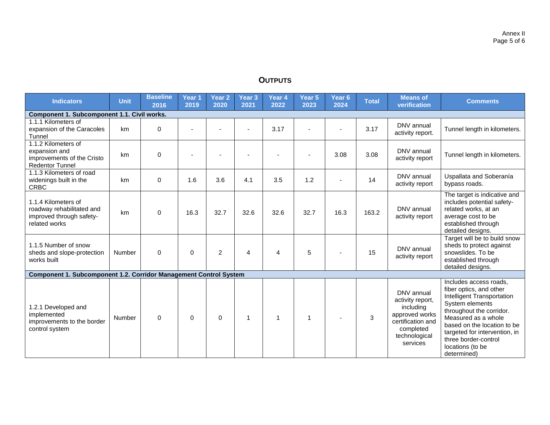## **OUTPUTS**

| <b>Indicators</b>                                                                             | <b>Unit</b> | <b>Baseline</b><br>2016 | Year <sub>1</sub><br>2019 | Year <sub>2</sub><br>2020 | Year <sub>3</sub><br>2021 | Year <sub>4</sub><br>2022 | Year 5<br>2023 | Year <sub>6</sub><br>2024 | <b>Total</b> | <b>Means of</b><br>verification                                                                                              | <b>Comments</b>                                                                                                                                                                                                                                                                  |
|-----------------------------------------------------------------------------------------------|-------------|-------------------------|---------------------------|---------------------------|---------------------------|---------------------------|----------------|---------------------------|--------------|------------------------------------------------------------------------------------------------------------------------------|----------------------------------------------------------------------------------------------------------------------------------------------------------------------------------------------------------------------------------------------------------------------------------|
| Component 1. Subcomponent 1.1. Civil works.                                                   |             |                         |                           |                           |                           |                           |                |                           |              |                                                                                                                              |                                                                                                                                                                                                                                                                                  |
| 1.1.1 Kilometers of<br>expansion of the Caracoles<br>Tunnel                                   | km          | 0                       |                           |                           |                           | 3.17                      |                |                           | 3.17         | DNV annual<br>activity report.                                                                                               | Tunnel length in kilometers.                                                                                                                                                                                                                                                     |
| 1.1.2 Kilometers of<br>expansion and<br>improvements of the Cristo<br><b>Redentor Tunnel</b>  | km          | 0                       |                           |                           |                           |                           |                | 3.08                      | 3.08         | DNV annual<br>activity report                                                                                                | Tunnel length in kilometers.                                                                                                                                                                                                                                                     |
| 1.1.3 Kilometers of road<br>widenings built in the<br><b>CRBC</b>                             | km          | 0                       | 1.6                       | 3.6                       | 4.1                       | 3.5                       | 1.2            |                           | 14           | DNV annual<br>activity report                                                                                                | Uspallata and Soberanía<br>bypass roads.                                                                                                                                                                                                                                         |
| 1.1.4 Kilometers of<br>roadway rehabilitated and<br>improved through safety-<br>related works | km          | 0                       | 16.3                      | 32.7                      | 32.6                      | 32.6                      | 32.7           | 16.3                      | 163.2        | DNV annual<br>activity report                                                                                                | The target is indicative and<br>includes potential safety-<br>related works, at an<br>average cost to be<br>established through<br>detailed designs.                                                                                                                             |
| 1.1.5 Number of snow<br>sheds and slope-protection<br>works built                             | Number      | $\Omega$                | $\Omega$                  | $\overline{2}$            | 4                         | 4                         | 5              |                           | 15           | DNV annual<br>activity report                                                                                                | Target will be to build snow<br>sheds to protect against<br>snowslides. To be<br>established through<br>detailed designs.                                                                                                                                                        |
| Component 1. Subcomponent 1.2. Corridor Management Control System                             |             |                         |                           |                           |                           |                           |                |                           |              |                                                                                                                              |                                                                                                                                                                                                                                                                                  |
| 1.2.1 Developed and<br>implemented<br>improvements to the border<br>control system            | Number      | $\Omega$                | $\Omega$                  | $\Omega$                  | 1                         | $\mathbf{1}$              |                |                           | 3            | DNV annual<br>activity report,<br>including<br>approved works<br>certification and<br>completed<br>technological<br>services | Includes access roads,<br>fiber optics, and other<br>Intelligent Transportation<br>System elements<br>throughout the corridor.<br>Measured as a whole<br>based on the location to be<br>targeted for intervention, in<br>three border-control<br>locations (to be<br>determined) |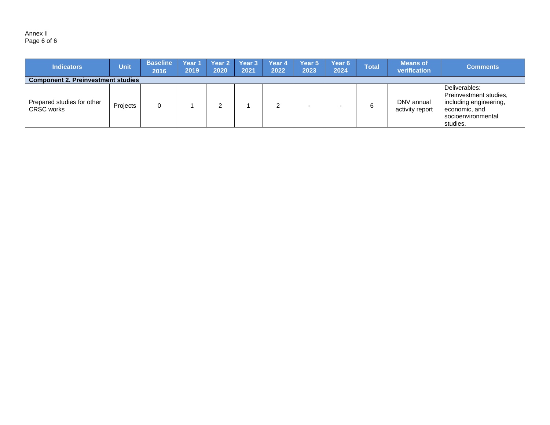#### Annex II Page 6 of 6

| <b>Indicators</b>                               | <b>Unit</b> | <b>Baseline</b><br>2016 | Year<br>2019 | Year 2<br>2020 | Year 3<br>2021 | Year 4<br>2022 | Year 5<br>2023           | Year <sub>6</sub><br>2024 | <b>Total</b> | <b>Means of</b><br>verification | <b>Comments</b>                                                                                                      |
|-------------------------------------------------|-------------|-------------------------|--------------|----------------|----------------|----------------|--------------------------|---------------------------|--------------|---------------------------------|----------------------------------------------------------------------------------------------------------------------|
| <b>Component 2. Preinvestment studies</b>       |             |                         |              |                |                |                |                          |                           |              |                                 |                                                                                                                      |
| Prepared studies for other<br><b>CRSC</b> works | Projects    | 0                       |              |                |                |                | $\overline{\phantom{0}}$ |                           | 6            | DNV annual<br>activity report   | Deliverables:<br>Preinvestment studies,<br>including engineering,<br>economic, and<br>socioenvironmental<br>studies. |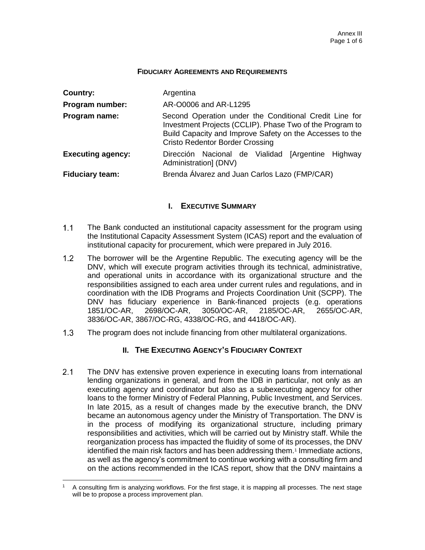#### **FIDUCIARY AGREEMENTS AND REQUIREMENTS**

| Country:                 | Argentina                                                                                                                                                                                                                |  |  |  |  |  |  |  |
|--------------------------|--------------------------------------------------------------------------------------------------------------------------------------------------------------------------------------------------------------------------|--|--|--|--|--|--|--|
| Program number:          | AR-00006 and AR-L1295                                                                                                                                                                                                    |  |  |  |  |  |  |  |
| Program name:            | Second Operation under the Conditional Credit Line for<br>Investment Projects (CCLIP). Phase Two of the Program to<br>Build Capacity and Improve Safety on the Accesses to the<br><b>Cristo Redentor Border Crossing</b> |  |  |  |  |  |  |  |
| <b>Executing agency:</b> | Dirección Nacional de Vialidad [Argentine Highway<br>Administration] (DNV)                                                                                                                                               |  |  |  |  |  |  |  |
| <b>Fiduciary team:</b>   | Brenda Álvarez and Juan Carlos Lazo (FMP/CAR)                                                                                                                                                                            |  |  |  |  |  |  |  |

## **I. EXECUTIVE SUMMARY**

- $1.1$ The Bank conducted an institutional capacity assessment for the program using the Institutional Capacity Assessment System (ICAS) report and the evaluation of institutional capacity for procurement, which were prepared in July 2016.
- $1.2<sub>2</sub>$ The borrower will be the Argentine Republic. The executing agency will be the DNV, which will execute program activities through its technical, administrative, and operational units in accordance with its organizational structure and the responsibilities assigned to each area under current rules and regulations, and in coordination with the IDB Programs and Projects Coordination Unit (SCPP). The DNV has fiduciary experience in Bank-financed projects (e.g. operations 1851/OC-AR, 2698/OC-AR, 3050/OC-AR, 2185/OC-AR, 2655/OC-AR, 3836/OC-AR, 3867/OC-RG, 4338/OC-RG, and 4418/OC-AR).
- $1.3$ The program does not include financing from other multilateral organizations.

## **II. THE EXECUTING AGENCY'S FIDUCIARY CONTEXT**

 $2.1$ The DNV has extensive proven experience in executing loans from international lending organizations in general, and from the IDB in particular, not only as an executing agency and coordinator but also as a subexecuting agency for other loans to the former Ministry of Federal Planning, Public Investment, and Services. In late 2015, as a result of changes made by the executive branch, the DNV became an autonomous agency under the Ministry of Transportation. The DNV is in the process of modifying its organizational structure, including primary responsibilities and activities, which will be carried out by Ministry staff. While the reorganization process has impacted the fluidity of some of its processes, the DNV identified the main risk factors and has been addressing them.<sup>1</sup> Immediate actions, as well as the agency's commitment to continue working with a consulting firm and on the actions recommended in the ICAS report, show that the DNV maintains a

 $\overline{a}$ <sup>1</sup> A consulting firm is analyzing workflows. For the first stage, it is mapping all processes. The next stage will be to propose a process improvement plan.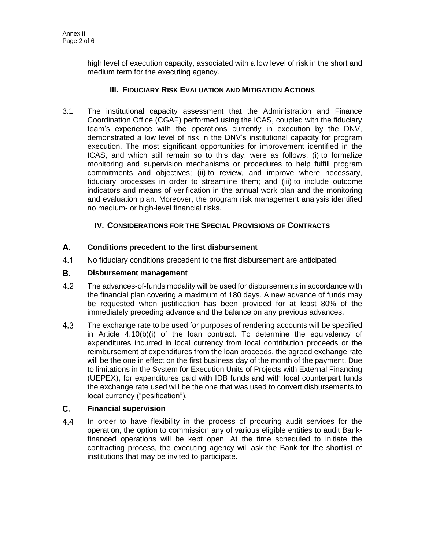high level of execution capacity, associated with a low level of risk in the short and medium term for the executing agency.

## **III. FIDUCIARY RISK EVALUATION AND MITIGATION ACTIONS**

3.1 The institutional capacity assessment that the Administration and Finance Coordination Office (CGAF) performed using the ICAS, coupled with the fiduciary team's experience with the operations currently in execution by the DNV, demonstrated a low level of risk in the DNV's institutional capacity for program execution. The most significant opportunities for improvement identified in the ICAS, and which still remain so to this day, were as follows: (i) to formalize monitoring and supervision mechanisms or procedures to help fulfill program commitments and objectives; (ii) to review, and improve where necessary, fiduciary processes in order to streamline them; and (iii) to include outcome indicators and means of verification in the annual work plan and the monitoring and evaluation plan. Moreover, the program risk management analysis identified no medium- or high-level financial risks.

## **IV. CONSIDERATIONS FOR THE SPECIAL PROVISIONS OF CONTRACTS**

#### A. **Conditions precedent to the first disbursement**

 $4.1$ No fiduciary conditions precedent to the first disbursement are anticipated.

#### В. **Disbursement management**

- $4.2$ The advances-of-funds modality will be used for disbursements in accordance with the financial plan covering a maximum of 180 days. A new advance of funds may be requested when justification has been provided for at least 80% of the immediately preceding advance and the balance on any previous advances.
- $4.3$ The exchange rate to be used for purposes of rendering accounts will be specified in Article 4.10(b)(i) of the loan contract. To determine the equivalency of expenditures incurred in local currency from local contribution proceeds or the reimbursement of expenditures from the loan proceeds, the agreed exchange rate will be the one in effect on the first business day of the month of the payment. Due to limitations in the System for Execution Units of Projects with External Financing (UEPEX), for expenditures paid with IDB funds and with local counterpart funds the exchange rate used will be the one that was used to convert disbursements to local currency ("pesification").

#### $\mathsf{C}$ . **Financial supervision**

In order to have flexibility in the process of procuring audit services for the  $4.4$ operation, the option to commission any of various eligible entities to audit Bankfinanced operations will be kept open. At the time scheduled to initiate the contracting process, the executing agency will ask the Bank for the shortlist of institutions that may be invited to participate.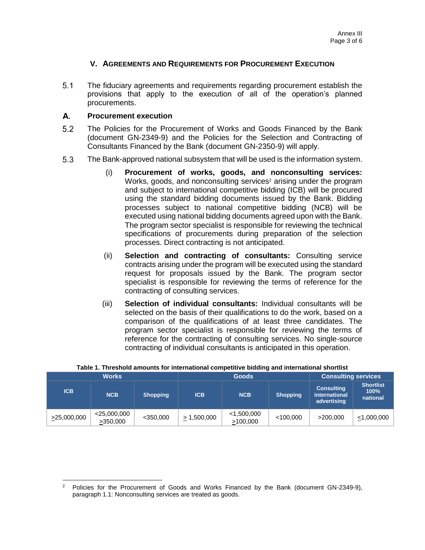## **V. AGREEMENTS AND REQUIREMENTS FOR PROCUREMENT EXECUTION**

 $5.1$ The fiduciary agreements and requirements regarding procurement establish the provisions that apply to the execution of all of the operation's planned procurements.

#### A. **Procurement execution**

- $5.2$ The Policies for the Procurement of Works and Goods Financed by the Bank (document GN-2349-9) and the Policies for the Selection and Contracting of Consultants Financed by the Bank (document GN-2350-9) will apply.
- 5.3 The Bank-approved national subsystem that will be used is the information system.
	- (i) **Procurement of works, goods, and nonconsulting services:** Works, goods, and nonconsulting services<sup>2</sup> arising under the program and subject to international competitive bidding (ICB) will be procured using the standard bidding documents issued by the Bank. Bidding processes subject to national competitive bidding (NCB) will be executed using national bidding documents agreed upon with the Bank. The program sector specialist is responsible for reviewing the technical specifications of procurements during preparation of the selection processes. Direct contracting is not anticipated.
	- (ii) **Selection and contracting of consultants:** Consulting service contracts arising under the program will be executed using the standard request for proposals issued by the Bank. The program sector specialist is responsible for reviewing the terms of reference for the contracting of consulting services.
	- (iii) **Selection of individual consultants:** Individual consultants will be selected on the basis of their qualifications to do the work, based on a comparison of the qualifications of at least three candidates. The program sector specialist is responsible for reviewing the terms of reference for the contracting of consulting services. No single-source contracting of individual consultants is anticipated in this operation.

|                   | <b>Works</b>               |                 |                  | <b>Goods</b>              | <b>Consulting services</b> |                                                   |                                      |
|-------------------|----------------------------|-----------------|------------------|---------------------------|----------------------------|---------------------------------------------------|--------------------------------------|
| <b>ICB</b>        | <b>NCB</b>                 | <b>Shopping</b> | <b>ICB</b>       | <b>NCB</b>                | <b>Shopping</b>            | <b>Consulting</b><br>international<br>advertising | <b>Shortlist</b><br>100%<br>national |
| $\geq$ 25,000,000 | $<$ 25,000,000<br>>350,000 | $<$ 350,000     | $\geq 1,500,000$ | $<$ 1,500,000<br>>100,000 | < 100.000                  | >200.000                                          | $<$ 1,000,000                        |

### **Table 1. Threshold amounts for international competitive bidding and international shortlist**

 $\overline{a}$ <sup>2</sup> Policies for the Procurement of Goods and Works Financed by the Bank (document GN-2349-9), paragraph 1.1: Nonconsulting services are treated as goods.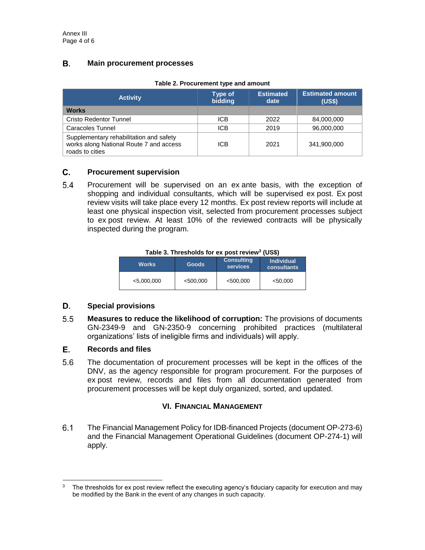#### **B. Main procurement processes**

| <b>Activity</b>                                                                                       | Type of<br>bidding | <b>Estimated</b><br>date | <b>Estimated amount</b><br>(US\$) |
|-------------------------------------------------------------------------------------------------------|--------------------|--------------------------|-----------------------------------|
| <b>Works</b>                                                                                          |                    |                          |                                   |
| Cristo Redentor Tunnel                                                                                | ICB                | 2022                     | 84,000,000                        |
| Caracoles Tunnel                                                                                      | <b>ICB</b>         | 2019                     | 96,000,000                        |
| Supplementary rehabilitation and safety<br>works along National Route 7 and access<br>roads to cities | ICB                | 2021                     | 341,900,000                       |

#### **Table 2. Procurement type and amount**

#### $\mathsf{C}$ . **Procurement supervision**

 $5.4$ Procurement will be supervised on an ex ante basis, with the exception of shopping and individual consultants, which will be supervised ex post. Ex post review visits will take place every 12 months. Ex post review reports will include at least one physical inspection visit, selected from procurement processes subject to ex post review. At least 10% of the reviewed contracts will be physically inspected during the program.

### **Table 3. Thresholds for ex post review<sup>3</sup> (US\$)**

| <b>Works</b>  | <b>Goods</b> | <b>Consulting</b><br><b>services</b> | <b>Individual</b><br>consultants |
|---------------|--------------|--------------------------------------|----------------------------------|
| $<$ 5,000,000 | $<$ 500.000  | $<$ 500.000                          | < 50.000                         |

#### D. **Special provisions**

 $5.5$ **Measures to reduce the likelihood of corruption:** The provisions of documents GN-2349-9 and GN-2350-9 concerning prohibited practices (multilateral organizations' lists of ineligible firms and individuals) will apply.

#### E. **Records and files**

 $\overline{a}$ 

 $5.6$ The documentation of procurement processes will be kept in the offices of the DNV, as the agency responsible for program procurement. For the purposes of ex post review, records and files from all documentation generated from procurement processes will be kept duly organized, sorted, and updated.

## **VI. FINANCIAL MANAGEMENT**

 $6.1$ The Financial Management Policy for IDB-financed Projects (document OP-273-6) and the Financial Management Operational Guidelines (document OP-274-1) will apply.

 $3$  The thresholds for ex post review reflect the executing agency's fiduciary capacity for execution and may be modified by the Bank in the event of any changes in such capacity.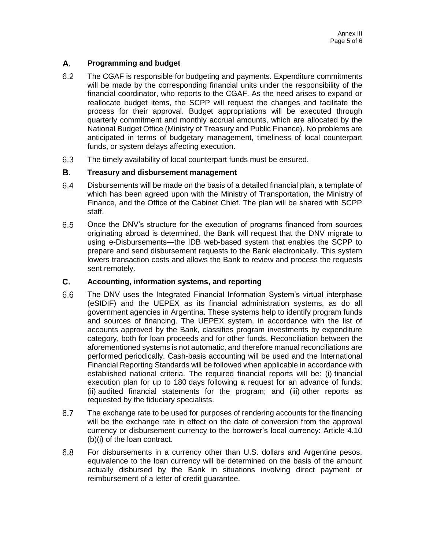#### А. **Programming and budget**

- $6.2$ The CGAF is responsible for budgeting and payments. Expenditure commitments will be made by the corresponding financial units under the responsibility of the financial coordinator, who reports to the CGAF. As the need arises to expand or reallocate budget items, the SCPP will request the changes and facilitate the process for their approval. Budget appropriations will be executed through quarterly commitment and monthly accrual amounts, which are allocated by the National Budget Office (Ministry of Treasury and Public Finance). No problems are anticipated in terms of budgetary management, timeliness of local counterpart funds, or system delays affecting execution.
- $6.3$ The timely availability of local counterpart funds must be ensured.

#### В. **Treasury and disbursement management**

- $6.4$ Disbursements will be made on the basis of a detailed financial plan, a template of which has been agreed upon with the Ministry of Transportation, the Ministry of Finance, and the Office of the Cabinet Chief. The plan will be shared with SCPP staff.
- $6.5$ Once the DNV's structure for the execution of programs financed from sources originating abroad is determined, the Bank will request that the DNV migrate to using e-Disbursements—the IDB web-based system that enables the SCPP to prepare and send disbursement requests to the Bank electronically. This system lowers transaction costs and allows the Bank to review and process the requests sent remotely.

#### C. **Accounting, information systems, and reporting**

- $6.6$ The DNV uses the Integrated Financial Information System's virtual interphase (eSIDIF) and the UEPEX as its financial administration systems, as do all government agencies in Argentina. These systems help to identify program funds and sources of financing. The UEPEX system, in accordance with the list of accounts approved by the Bank, classifies program investments by expenditure category, both for loan proceeds and for other funds. Reconciliation between the aforementioned systems is not automatic, and therefore manual reconciliations are performed periodically. Cash-basis accounting will be used and the International Financial Reporting Standards will be followed when applicable in accordance with established national criteria. The required financial reports will be: (i) financial execution plan for up to 180 days following a request for an advance of funds; (ii) audited financial statements for the program; and (iii) other reports as requested by the fiduciary specialists.
- $6.7$ The exchange rate to be used for purposes of rendering accounts for the financing will be the exchange rate in effect on the date of conversion from the approval currency or disbursement currency to the borrower's local currency: Article 4.10 (b)(i) of the loan contract.
- $6.8$ For disbursements in a currency other than U.S. dollars and Argentine pesos, equivalence to the loan currency will be determined on the basis of the amount actually disbursed by the Bank in situations involving direct payment or reimbursement of a letter of credit guarantee.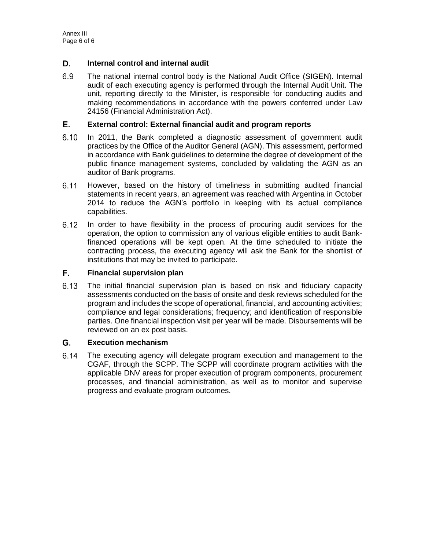#### D. **Internal control and internal audit**

 $6.9$ The national internal control body is the National Audit Office (SIGEN). Internal audit of each executing agency is performed through the Internal Audit Unit. The unit, reporting directly to the Minister, is responsible for conducting audits and making recommendations in accordance with the powers conferred under Law 24156 (Financial Administration Act).

#### E. **External control: External financial audit and program reports**

- $6.10$ In 2011, the Bank completed a diagnostic assessment of government audit practices by the Office of the Auditor General (AGN). This assessment, performed in accordance with Bank guidelines to determine the degree of development of the public finance management systems, concluded by validating the AGN as an auditor of Bank programs.
- $6.11$ However, based on the history of timeliness in submitting audited financial statements in recent years, an agreement was reached with Argentina in October 2014 to reduce the AGN's portfolio in keeping with its actual compliance capabilities.
- $6.12$ In order to have flexibility in the process of procuring audit services for the operation, the option to commission any of various eligible entities to audit Bankfinanced operations will be kept open. At the time scheduled to initiate the contracting process, the executing agency will ask the Bank for the shortlist of institutions that may be invited to participate.

#### F. **Financial supervision plan**

 $6.13$ The initial financial supervision plan is based on risk and fiduciary capacity assessments conducted on the basis of onsite and desk reviews scheduled for the program and includes the scope of operational, financial, and accounting activities; compliance and legal considerations; frequency; and identification of responsible parties. One financial inspection visit per year will be made. Disbursements will be reviewed on an ex post basis.

#### G. **Execution mechanism**

 $6.14$ The executing agency will delegate program execution and management to the CGAF, through the SCPP. The SCPP will coordinate program activities with the applicable DNV areas for proper execution of program components, procurement processes, and financial administration, as well as to monitor and supervise progress and evaluate program outcomes.